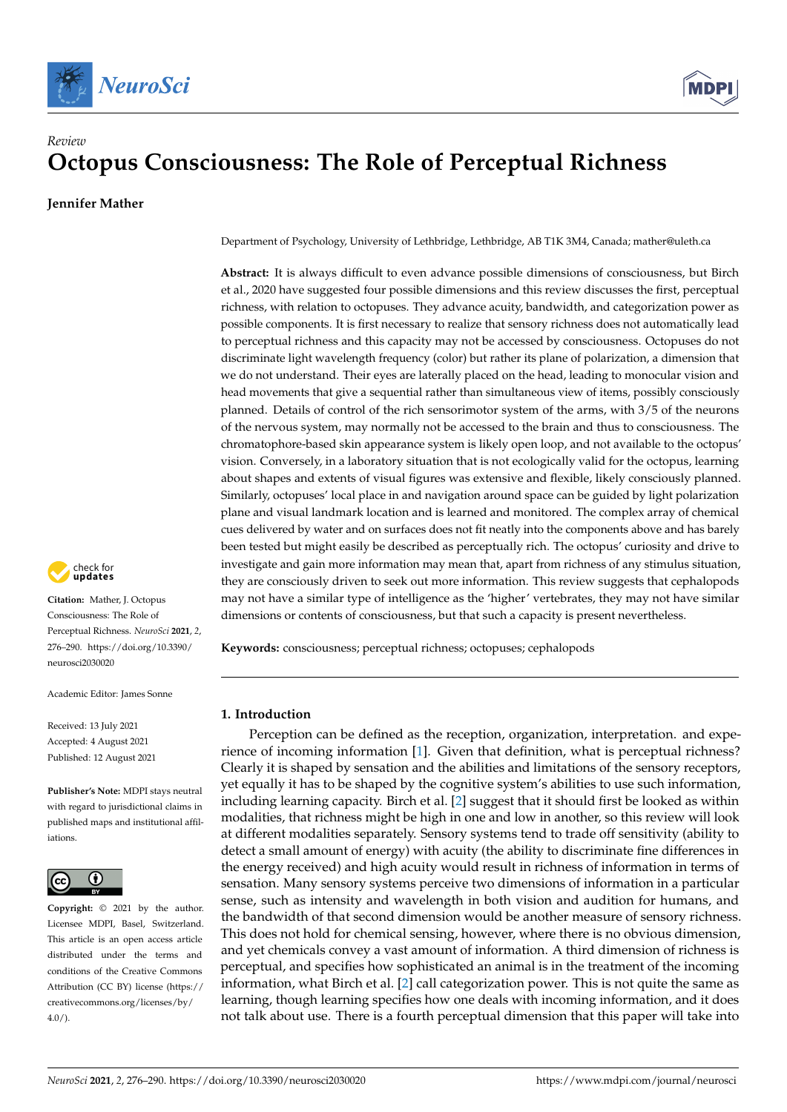



# *Review* **Octopus Consciousness: The Role of Perceptual Richness**

**Jennifer Mather**

check for **-**

**Citation:** Mather, J. Octopus Consciousness: The Role of Perceptual Richness. *NeuroSci* **2021**, *2*, 276–290. [https://doi.org/10.3390/](https://doi.org/10.3390/neurosci2030020) [neurosci2030020](https://doi.org/10.3390/neurosci2030020)

Academic Editor: James Sonne

Received: 13 July 2021 Accepted: 4 August 2021 Published: 12 August 2021

**Publisher's Note:** MDPI stays neutral with regard to jurisdictional claims in published maps and institutional affiliations.



**Copyright:** © 2021 by the author. Licensee MDPI, Basel, Switzerland. This article is an open access article distributed under the terms and conditions of the Creative Commons Attribution (CC BY) license (https:/[/](https://creativecommons.org/licenses/by/4.0/) [creativecommons.org/licenses/by/](https://creativecommons.org/licenses/by/4.0/)  $4.0/$ ).

Department of Psychology, University of Lethbridge, Lethbridge, AB T1K 3M4, Canada; mather@uleth.ca

**Abstract:** It is always difficult to even advance possible dimensions of consciousness, but Birch et al., 2020 have suggested four possible dimensions and this review discusses the first, perceptual richness, with relation to octopuses. They advance acuity, bandwidth, and categorization power as possible components. It is first necessary to realize that sensory richness does not automatically lead to perceptual richness and this capacity may not be accessed by consciousness. Octopuses do not discriminate light wavelength frequency (color) but rather its plane of polarization, a dimension that we do not understand. Their eyes are laterally placed on the head, leading to monocular vision and head movements that give a sequential rather than simultaneous view of items, possibly consciously planned. Details of control of the rich sensorimotor system of the arms, with 3/5 of the neurons of the nervous system, may normally not be accessed to the brain and thus to consciousness. The chromatophore-based skin appearance system is likely open loop, and not available to the octopus' vision. Conversely, in a laboratory situation that is not ecologically valid for the octopus, learning about shapes and extents of visual figures was extensive and flexible, likely consciously planned. Similarly, octopuses' local place in and navigation around space can be guided by light polarization plane and visual landmark location and is learned and monitored. The complex array of chemical cues delivered by water and on surfaces does not fit neatly into the components above and has barely been tested but might easily be described as perceptually rich. The octopus' curiosity and drive to investigate and gain more information may mean that, apart from richness of any stimulus situation, they are consciously driven to seek out more information. This review suggests that cephalopods may not have a similar type of intelligence as the 'higher' vertebrates, they may not have similar dimensions or contents of consciousness, but that such a capacity is present nevertheless.

**Keywords:** consciousness; perceptual richness; octopuses; cephalopods

# **1. Introduction**

Perception can be defined as the reception, organization, interpretation. and experience of incoming information [\[1\]](#page-10-0). Given that definition, what is perceptual richness? Clearly it is shaped by sensation and the abilities and limitations of the sensory receptors, yet equally it has to be shaped by the cognitive system's abilities to use such information, including learning capacity. Birch et al. [\[2\]](#page-10-1) suggest that it should first be looked as within modalities, that richness might be high in one and low in another, so this review will look at different modalities separately. Sensory systems tend to trade off sensitivity (ability to detect a small amount of energy) with acuity (the ability to discriminate fine differences in the energy received) and high acuity would result in richness of information in terms of sensation. Many sensory systems perceive two dimensions of information in a particular sense, such as intensity and wavelength in both vision and audition for humans, and the bandwidth of that second dimension would be another measure of sensory richness. This does not hold for chemical sensing, however, where there is no obvious dimension, and yet chemicals convey a vast amount of information. A third dimension of richness is perceptual, and specifies how sophisticated an animal is in the treatment of the incoming information, what Birch et al. [\[2\]](#page-10-1) call categorization power. This is not quite the same as learning, though learning specifies how one deals with incoming information, and it does not talk about use. There is a fourth perceptual dimension that this paper will take into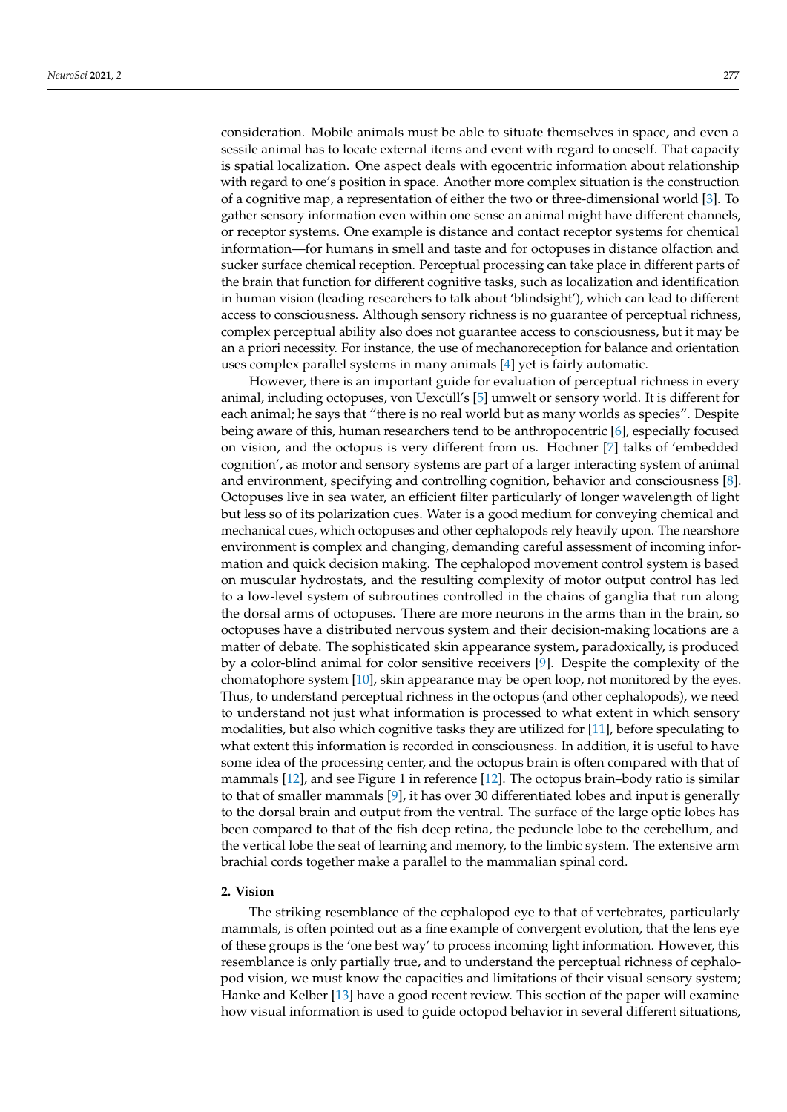consideration. Mobile animals must be able to situate themselves in space, and even a sessile animal has to locate external items and event with regard to oneself. That capacity is spatial localization. One aspect deals with egocentric information about relationship with regard to one's position in space. Another more complex situation is the construction of a cognitive map, a representation of either the two or three-dimensional world [\[3\]](#page-10-2). To gather sensory information even within one sense an animal might have different channels, or receptor systems. One example is distance and contact receptor systems for chemical information—for humans in smell and taste and for octopuses in distance olfaction and sucker surface chemical reception. Perceptual processing can take place in different parts of the brain that function for different cognitive tasks, such as localization and identification in human vision (leading researchers to talk about 'blindsight'), which can lead to different access to consciousness. Although sensory richness is no guarantee of perceptual richness, complex perceptual ability also does not guarantee access to consciousness, but it may be an a priori necessity. For instance, the use of mechanoreception for balance and orientation uses complex parallel systems in many animals [\[4\]](#page-11-0) yet is fairly automatic.

However, there is an important guide for evaluation of perceptual richness in every animal, including octopuses, von Uexcüll's [\[5\]](#page-11-1) umwelt or sensory world. It is different for each animal; he says that "there is no real world but as many worlds as species". Despite being aware of this, human researchers tend to be anthropocentric [\[6\]](#page-11-2), especially focused on vision, and the octopus is very different from us. Hochner [\[7\]](#page-11-3) talks of 'embedded cognition', as motor and sensory systems are part of a larger interacting system of animal and environment, specifying and controlling cognition, behavior and consciousness [\[8\]](#page-11-4). Octopuses live in sea water, an efficient filter particularly of longer wavelength of light but less so of its polarization cues. Water is a good medium for conveying chemical and mechanical cues, which octopuses and other cephalopods rely heavily upon. The nearshore environment is complex and changing, demanding careful assessment of incoming information and quick decision making. The cephalopod movement control system is based on muscular hydrostats, and the resulting complexity of motor output control has led to a low-level system of subroutines controlled in the chains of ganglia that run along the dorsal arms of octopuses. There are more neurons in the arms than in the brain, so octopuses have a distributed nervous system and their decision-making locations are a matter of debate. The sophisticated skin appearance system, paradoxically, is produced by a color-blind animal for color sensitive receivers [\[9\]](#page-11-5). Despite the complexity of the chomatophore system [\[10\]](#page-11-6), skin appearance may be open loop, not monitored by the eyes. Thus, to understand perceptual richness in the octopus (and other cephalopods), we need to understand not just what information is processed to what extent in which sensory modalities, but also which cognitive tasks they are utilized for [\[11\]](#page-11-7), before speculating to what extent this information is recorded in consciousness. In addition, it is useful to have some idea of the processing center, and the octopus brain is often compared with that of mammals [\[12\]](#page-11-8), and see Figure 1 in reference [\[12\]](#page-11-8). The octopus brain–body ratio is similar to that of smaller mammals [\[9\]](#page-11-5), it has over 30 differentiated lobes and input is generally to the dorsal brain and output from the ventral. The surface of the large optic lobes has been compared to that of the fish deep retina, the peduncle lobe to the cerebellum, and the vertical lobe the seat of learning and memory, to the limbic system. The extensive arm brachial cords together make a parallel to the mammalian spinal cord.

## **2. Vision**

The striking resemblance of the cephalopod eye to that of vertebrates, particularly mammals, is often pointed out as a fine example of convergent evolution, that the lens eye of these groups is the 'one best way' to process incoming light information. However, this resemblance is only partially true, and to understand the perceptual richness of cephalopod vision, we must know the capacities and limitations of their visual sensory system; Hanke and Kelber [\[13\]](#page-11-9) have a good recent review. This section of the paper will examine how visual information is used to guide octopod behavior in several different situations,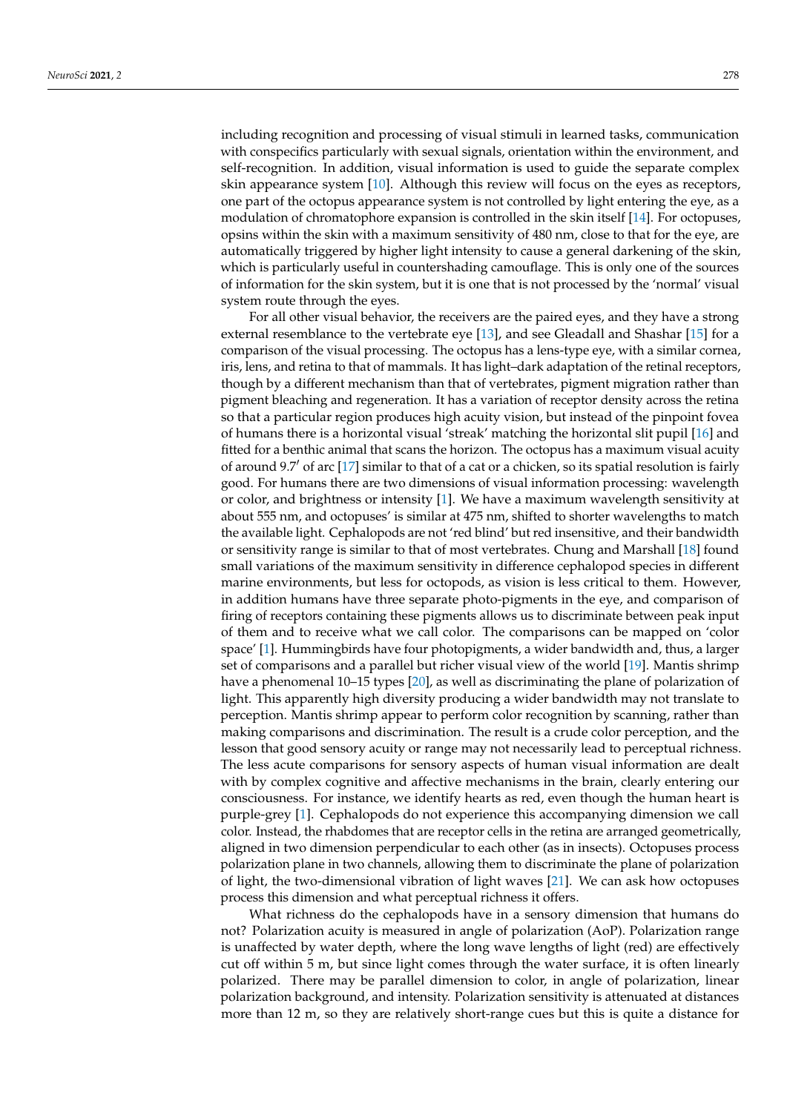including recognition and processing of visual stimuli in learned tasks, communication with conspecifics particularly with sexual signals, orientation within the environment, and self-recognition. In addition, visual information is used to guide the separate complex skin appearance system [\[10\]](#page-11-6). Although this review will focus on the eyes as receptors, one part of the octopus appearance system is not controlled by light entering the eye, as a modulation of chromatophore expansion is controlled in the skin itself [\[14\]](#page-11-10). For octopuses, opsins within the skin with a maximum sensitivity of 480 nm, close to that for the eye, are automatically triggered by higher light intensity to cause a general darkening of the skin, which is particularly useful in countershading camouflage. This is only one of the sources of information for the skin system, but it is one that is not processed by the 'normal' visual system route through the eyes.

For all other visual behavior, the receivers are the paired eyes, and they have a strong external resemblance to the vertebrate eye [\[13\]](#page-11-9), and see Gleadall and Shashar [\[15\]](#page-11-11) for a comparison of the visual processing. The octopus has a lens-type eye, with a similar cornea, iris, lens, and retina to that of mammals. It has light–dark adaptation of the retinal receptors, though by a different mechanism than that of vertebrates, pigment migration rather than pigment bleaching and regeneration. It has a variation of receptor density across the retina so that a particular region produces high acuity vision, but instead of the pinpoint fovea of humans there is a horizontal visual 'streak' matching the horizontal slit pupil [\[16\]](#page-11-12) and fitted for a benthic animal that scans the horizon. The octopus has a maximum visual acuity of around 9.7 $\prime$  of arc [\[17\]](#page-11-13) similar to that of a cat or a chicken, so its spatial resolution is fairly good. For humans there are two dimensions of visual information processing: wavelength or color, and brightness or intensity [\[1\]](#page-10-0). We have a maximum wavelength sensitivity at about 555 nm, and octopuses' is similar at 475 nm, shifted to shorter wavelengths to match the available light. Cephalopods are not 'red blind' but red insensitive, and their bandwidth or sensitivity range is similar to that of most vertebrates. Chung and Marshall [\[18\]](#page-11-14) found small variations of the maximum sensitivity in difference cephalopod species in different marine environments, but less for octopods, as vision is less critical to them. However, in addition humans have three separate photo-pigments in the eye, and comparison of firing of receptors containing these pigments allows us to discriminate between peak input of them and to receive what we call color. The comparisons can be mapped on 'color space' [\[1\]](#page-10-0). Hummingbirds have four photopigments, a wider bandwidth and, thus, a larger set of comparisons and a parallel but richer visual view of the world [\[19\]](#page-11-15). Mantis shrimp have a phenomenal 10–15 types [\[20\]](#page-11-16), as well as discriminating the plane of polarization of light. This apparently high diversity producing a wider bandwidth may not translate to perception. Mantis shrimp appear to perform color recognition by scanning, rather than making comparisons and discrimination. The result is a crude color perception, and the lesson that good sensory acuity or range may not necessarily lead to perceptual richness. The less acute comparisons for sensory aspects of human visual information are dealt with by complex cognitive and affective mechanisms in the brain, clearly entering our consciousness. For instance, we identify hearts as red, even though the human heart is purple-grey [\[1\]](#page-10-0). Cephalopods do not experience this accompanying dimension we call color. Instead, the rhabdomes that are receptor cells in the retina are arranged geometrically, aligned in two dimension perpendicular to each other (as in insects). Octopuses process polarization plane in two channels, allowing them to discriminate the plane of polarization of light, the two-dimensional vibration of light waves [\[21\]](#page-11-17). We can ask how octopuses process this dimension and what perceptual richness it offers.

What richness do the cephalopods have in a sensory dimension that humans do not? Polarization acuity is measured in angle of polarization (AoP). Polarization range is unaffected by water depth, where the long wave lengths of light (red) are effectively cut off within 5 m, but since light comes through the water surface, it is often linearly polarized. There may be parallel dimension to color, in angle of polarization, linear polarization background, and intensity. Polarization sensitivity is attenuated at distances more than 12 m, so they are relatively short-range cues but this is quite a distance for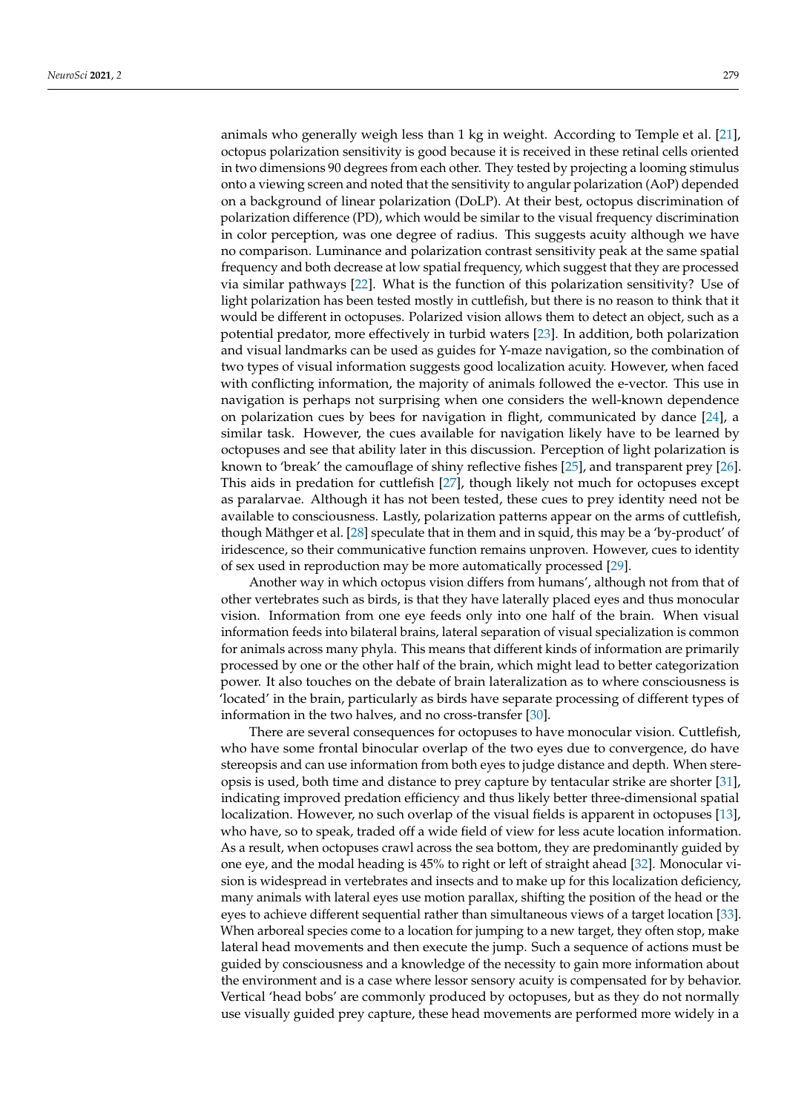animals who generally weigh less than 1 kg in weight. According to Temple et al. [\[21\]](#page-11-17), octopus polarization sensitivity is good because it is received in these retinal cells oriented in two dimensions 90 degrees from each other. They tested by projecting a looming stimulus onto a viewing screen and noted that the sensitivity to angular polarization (AoP) depended on a background of linear polarization (DoLP). At their best, octopus discrimination of polarization difference (PD), which would be similar to the visual frequency discrimination in color perception, was one degree of radius. This suggests acuity although we have no comparison. Luminance and polarization contrast sensitivity peak at the same spatial frequency and both decrease at low spatial frequency, which suggest that they are processed via similar pathways [\[22\]](#page-11-18). What is the function of this polarization sensitivity? Use of light polarization has been tested mostly in cuttlefish, but there is no reason to think that it would be different in octopuses. Polarized vision allows them to detect an object, such as a potential predator, more effectively in turbid waters [\[23\]](#page-11-19). In addition, both polarization and visual landmarks can be used as guides for Y-maze navigation, so the combination of two types of visual information suggests good localization acuity. However, when faced with conflicting information, the majority of animals followed the e-vector. This use in navigation is perhaps not surprising when one considers the well-known dependence on polarization cues by bees for navigation in flight, communicated by dance [\[24\]](#page-11-20), a similar task. However, the cues available for navigation likely have to be learned by octopuses and see that ability later in this discussion. Perception of light polarization is known to 'break' the camouflage of shiny reflective fishes [\[25\]](#page-11-21), and transparent prey [\[26\]](#page-11-22). This aids in predation for cuttlefish [\[27\]](#page-11-23), though likely not much for octopuses except as paralarvae. Although it has not been tested, these cues to prey identity need not be available to consciousness. Lastly, polarization patterns appear on the arms of cuttlefish, though Mäthger et al. [\[28\]](#page-11-24) speculate that in them and in squid, this may be a 'by-product' of iridescence, so their communicative function remains unproven. However, cues to identity of sex used in reproduction may be more automatically processed [\[29\]](#page-11-25).

Another way in which octopus vision differs from humans', although not from that of other vertebrates such as birds, is that they have laterally placed eyes and thus monocular vision. Information from one eye feeds only into one half of the brain. When visual information feeds into bilateral brains, lateral separation of visual specialization is common for animals across many phyla. This means that different kinds of information are primarily processed by one or the other half of the brain, which might lead to better categorization power. It also touches on the debate of brain lateralization as to where consciousness is 'located' in the brain, particularly as birds have separate processing of different types of information in the two halves, and no cross-transfer [\[30\]](#page-11-26).

There are several consequences for octopuses to have monocular vision. Cuttlefish, who have some frontal binocular overlap of the two eyes due to convergence, do have stereopsis and can use information from both eyes to judge distance and depth. When stereopsis is used, both time and distance to prey capture by tentacular strike are shorter [\[31\]](#page-11-27), indicating improved predation efficiency and thus likely better three-dimensional spatial localization. However, no such overlap of the visual fields is apparent in octopuses [\[13\]](#page-11-9), who have, so to speak, traded off a wide field of view for less acute location information. As a result, when octopuses crawl across the sea bottom, they are predominantly guided by one eye, and the modal heading is 45% to right or left of straight ahead [\[32\]](#page-11-28). Monocular vision is widespread in vertebrates and insects and to make up for this localization deficiency, many animals with lateral eyes use motion parallax, shifting the position of the head or the eyes to achieve different sequential rather than simultaneous views of a target location [\[33\]](#page-11-29). When arboreal species come to a location for jumping to a new target, they often stop, make lateral head movements and then execute the jump. Such a sequence of actions must be guided by consciousness and a knowledge of the necessity to gain more information about the environment and is a case where lessor sensory acuity is compensated for by behavior. Vertical 'head bobs' are commonly produced by octopuses, but as they do not normally use visually guided prey capture, these head movements are performed more widely in a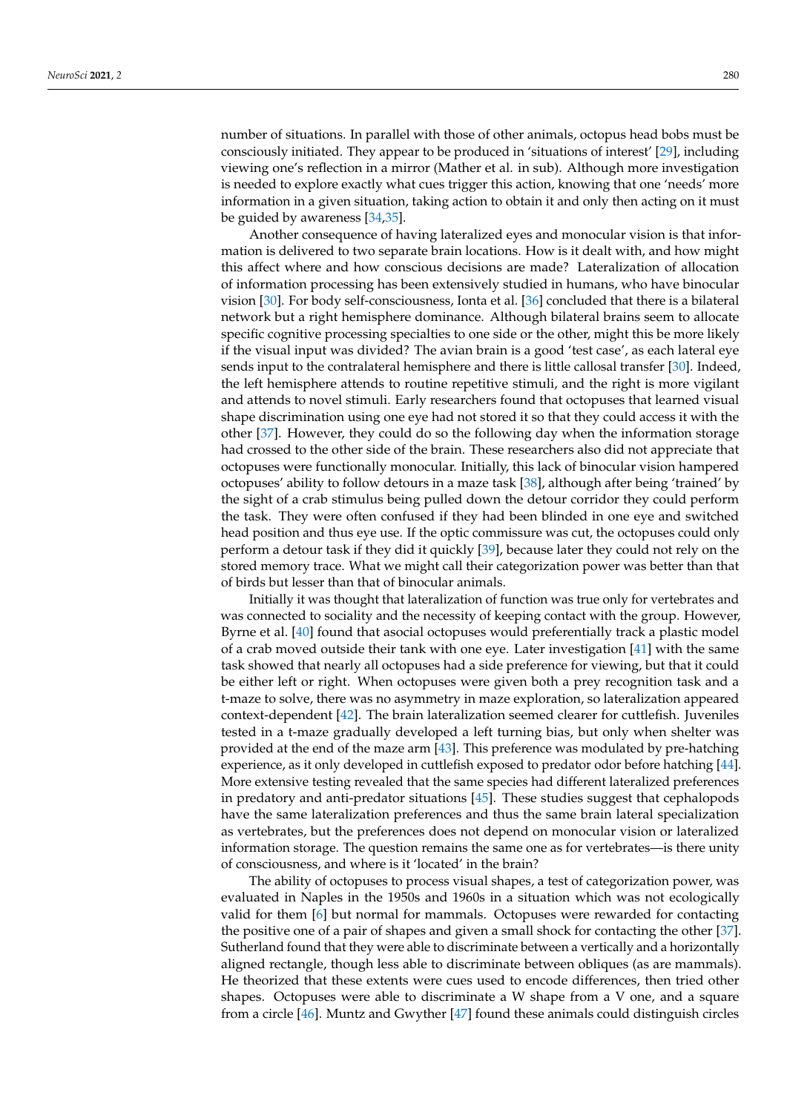number of situations. In parallel with those of other animals, octopus head bobs must be consciously initiated. They appear to be produced in 'situations of interest' [\[29\]](#page-11-25), including viewing one's reflection in a mirror (Mather et al. in sub). Although more investigation is needed to explore exactly what cues trigger this action, knowing that one 'needs' more information in a given situation, taking action to obtain it and only then acting on it must be guided by awareness [\[34,](#page-11-30)[35\]](#page-11-31).

Another consequence of having lateralized eyes and monocular vision is that information is delivered to two separate brain locations. How is it dealt with, and how might this affect where and how conscious decisions are made? Lateralization of allocation of information processing has been extensively studied in humans, who have binocular vision [\[30\]](#page-11-26). For body self-consciousness, Ionta et al. [\[36\]](#page-12-0) concluded that there is a bilateral network but a right hemisphere dominance. Although bilateral brains seem to allocate specific cognitive processing specialties to one side or the other, might this be more likely if the visual input was divided? The avian brain is a good 'test case', as each lateral eye sends input to the contralateral hemisphere and there is little callosal transfer [\[30\]](#page-11-26). Indeed, the left hemisphere attends to routine repetitive stimuli, and the right is more vigilant and attends to novel stimuli. Early researchers found that octopuses that learned visual shape discrimination using one eye had not stored it so that they could access it with the other [\[37\]](#page-12-1). However, they could do so the following day when the information storage had crossed to the other side of the brain. These researchers also did not appreciate that octopuses were functionally monocular. Initially, this lack of binocular vision hampered octopuses' ability to follow detours in a maze task [\[38\]](#page-12-2), although after being 'trained' by the sight of a crab stimulus being pulled down the detour corridor they could perform the task. They were often confused if they had been blinded in one eye and switched head position and thus eye use. If the optic commissure was cut, the octopuses could only perform a detour task if they did it quickly [\[39\]](#page-12-3), because later they could not rely on the stored memory trace. What we might call their categorization power was better than that of birds but lesser than that of binocular animals.

Initially it was thought that lateralization of function was true only for vertebrates and was connected to sociality and the necessity of keeping contact with the group. However, Byrne et al. [\[40\]](#page-12-4) found that asocial octopuses would preferentially track a plastic model of a crab moved outside their tank with one eye. Later investigation [\[41\]](#page-12-5) with the same task showed that nearly all octopuses had a side preference for viewing, but that it could be either left or right. When octopuses were given both a prey recognition task and a t-maze to solve, there was no asymmetry in maze exploration, so lateralization appeared context-dependent [\[42\]](#page-12-6). The brain lateralization seemed clearer for cuttlefish. Juveniles tested in a t-maze gradually developed a left turning bias, but only when shelter was provided at the end of the maze arm [\[43\]](#page-12-7). This preference was modulated by pre-hatching experience, as it only developed in cuttlefish exposed to predator odor before hatching [\[44\]](#page-12-8). More extensive testing revealed that the same species had different lateralized preferences in predatory and anti-predator situations [\[45\]](#page-12-9). These studies suggest that cephalopods have the same lateralization preferences and thus the same brain lateral specialization as vertebrates, but the preferences does not depend on monocular vision or lateralized information storage. The question remains the same one as for vertebrates—is there unity of consciousness, and where is it 'located' in the brain?

The ability of octopuses to process visual shapes, a test of categorization power, was evaluated in Naples in the 1950s and 1960s in a situation which was not ecologically valid for them [\[6\]](#page-11-2) but normal for mammals. Octopuses were rewarded for contacting the positive one of a pair of shapes and given a small shock for contacting the other [\[37\]](#page-12-1). Sutherland found that they were able to discriminate between a vertically and a horizontally aligned rectangle, though less able to discriminate between obliques (as are mammals). He theorized that these extents were cues used to encode differences, then tried other shapes. Octopuses were able to discriminate a W shape from a V one, and a square from a circle [\[46\]](#page-12-10). Muntz and Gwyther [\[47\]](#page-12-11) found these animals could distinguish circles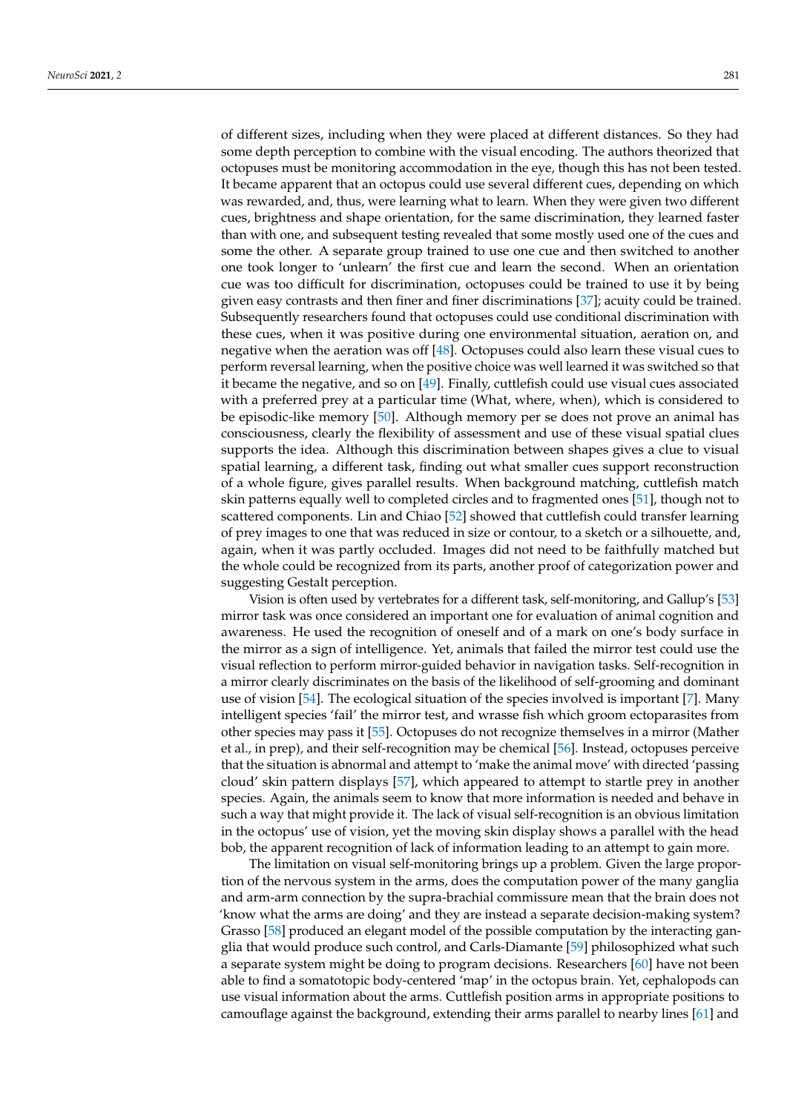of different sizes, including when they were placed at different distances. So they had some depth perception to combine with the visual encoding. The authors theorized that octopuses must be monitoring accommodation in the eye, though this has not been tested. It became apparent that an octopus could use several different cues, depending on which was rewarded, and, thus, were learning what to learn. When they were given two different cues, brightness and shape orientation, for the same discrimination, they learned faster than with one, and subsequent testing revealed that some mostly used one of the cues and some the other. A separate group trained to use one cue and then switched to another one took longer to 'unlearn' the first cue and learn the second. When an orientation cue was too difficult for discrimination, octopuses could be trained to use it by being given easy contrasts and then finer and finer discriminations [\[37\]](#page-12-1); acuity could be trained. Subsequently researchers found that octopuses could use conditional discrimination with these cues, when it was positive during one environmental situation, aeration on, and negative when the aeration was off [\[48\]](#page-12-12). Octopuses could also learn these visual cues to perform reversal learning, when the positive choice was well learned it was switched so that it became the negative, and so on [\[49\]](#page-12-13). Finally, cuttlefish could use visual cues associated with a preferred prey at a particular time (What, where, when), which is considered to be episodic-like memory [\[50\]](#page-12-14). Although memory per se does not prove an animal has consciousness, clearly the flexibility of assessment and use of these visual spatial clues supports the idea. Although this discrimination between shapes gives a clue to visual spatial learning, a different task, finding out what smaller cues support reconstruction of a whole figure, gives parallel results. When background matching, cuttlefish match skin patterns equally well to completed circles and to fragmented ones [\[51\]](#page-12-15), though not to scattered components. Lin and Chiao [\[52\]](#page-12-16) showed that cuttlefish could transfer learning of prey images to one that was reduced in size or contour, to a sketch or a silhouette, and, again, when it was partly occluded. Images did not need to be faithfully matched but the whole could be recognized from its parts, another proof of categorization power and suggesting Gestalt perception.

Vision is often used by vertebrates for a different task, self-monitoring, and Gallup's [\[53\]](#page-12-17) mirror task was once considered an important one for evaluation of animal cognition and awareness. He used the recognition of oneself and of a mark on one's body surface in the mirror as a sign of intelligence. Yet, animals that failed the mirror test could use the visual reflection to perform mirror-guided behavior in navigation tasks. Self-recognition in a mirror clearly discriminates on the basis of the likelihood of self-grooming and dominant use of vision [\[54\]](#page-12-18). The ecological situation of the species involved is important [\[7\]](#page-11-3). Many intelligent species 'fail' the mirror test, and wrasse fish which groom ectoparasites from other species may pass it [\[55\]](#page-12-19). Octopuses do not recognize themselves in a mirror (Mather et al., in prep), and their self-recognition may be chemical [\[56\]](#page-12-20). Instead, octopuses perceive that the situation is abnormal and attempt to 'make the animal move' with directed 'passing cloud' skin pattern displays [\[57\]](#page-12-21), which appeared to attempt to startle prey in another species. Again, the animals seem to know that more information is needed and behave in such a way that might provide it. The lack of visual self-recognition is an obvious limitation in the octopus' use of vision, yet the moving skin display shows a parallel with the head bob, the apparent recognition of lack of information leading to an attempt to gain more.

The limitation on visual self-monitoring brings up a problem. Given the large proportion of the nervous system in the arms, does the computation power of the many ganglia and arm-arm connection by the supra-brachial commissure mean that the brain does not 'know what the arms are doing' and they are instead a separate decision-making system? Grasso [\[58\]](#page-12-22) produced an elegant model of the possible computation by the interacting ganglia that would produce such control, and Carls-Diamante [\[59\]](#page-12-23) philosophized what such a separate system might be doing to program decisions. Researchers [\[60\]](#page-12-24) have not been able to find a somatotopic body-centered 'map' in the octopus brain. Yet, cephalopods can use visual information about the arms. Cuttlefish position arms in appropriate positions to camouflage against the background, extending their arms parallel to nearby lines [\[61\]](#page-12-25) and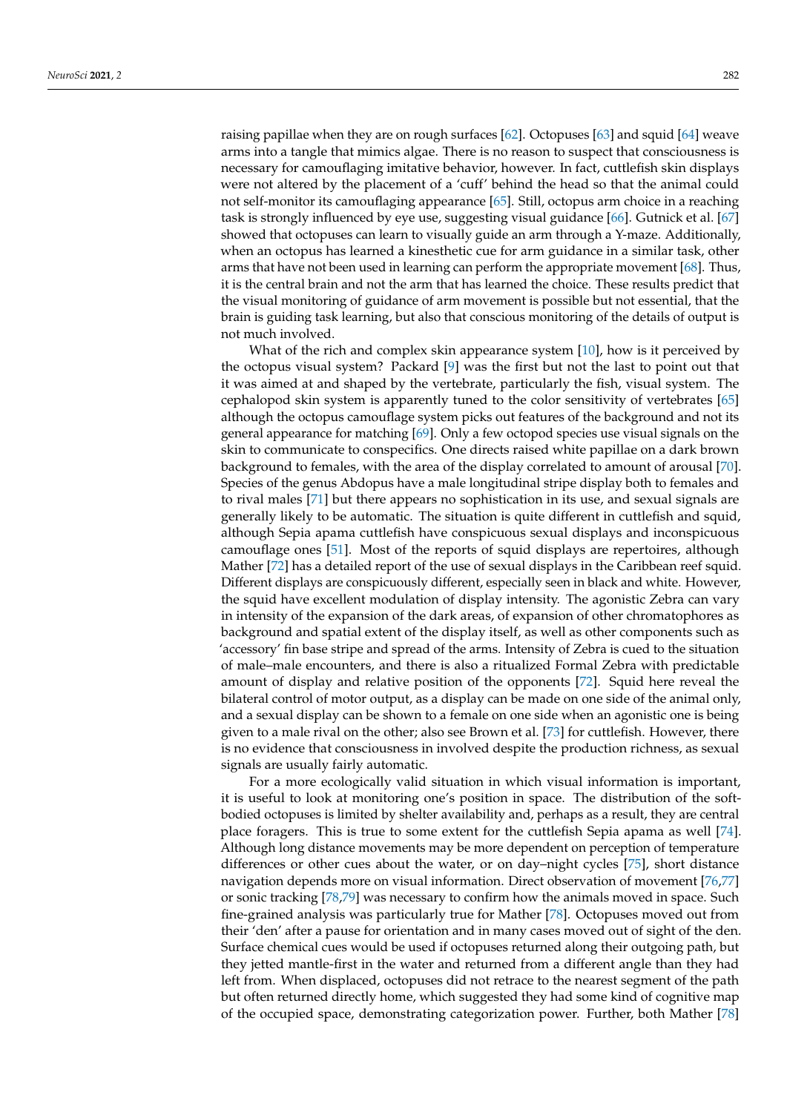raising papillae when they are on rough surfaces [\[62\]](#page-12-26). Octopuses [\[63\]](#page-12-27) and squid [\[64\]](#page-12-28) weave arms into a tangle that mimics algae. There is no reason to suspect that consciousness is necessary for camouflaging imitative behavior, however. In fact, cuttlefish skin displays were not altered by the placement of a 'cuff' behind the head so that the animal could not self-monitor its camouflaging appearance [\[65\]](#page-12-29). Still, octopus arm choice in a reaching task is strongly influenced by eye use, suggesting visual guidance [\[66\]](#page-12-30). Gutnick et al. [\[67\]](#page-12-31) showed that octopuses can learn to visually guide an arm through a Y-maze. Additionally, when an octopus has learned a kinesthetic cue for arm guidance in a similar task, other arms that have not been used in learning can perform the appropriate movement [\[68\]](#page-12-32). Thus, it is the central brain and not the arm that has learned the choice. These results predict that the visual monitoring of guidance of arm movement is possible but not essential, that the brain is guiding task learning, but also that conscious monitoring of the details of output is not much involved.

What of the rich and complex skin appearance system [\[10\]](#page-11-6), how is it perceived by the octopus visual system? Packard [\[9\]](#page-11-5) was the first but not the last to point out that it was aimed at and shaped by the vertebrate, particularly the fish, visual system. The cephalopod skin system is apparently tuned to the color sensitivity of vertebrates [\[65\]](#page-12-29) although the octopus camouflage system picks out features of the background and not its general appearance for matching [\[69\]](#page-13-0). Only a few octopod species use visual signals on the skin to communicate to conspecifics. One directs raised white papillae on a dark brown background to females, with the area of the display correlated to amount of arousal [\[70\]](#page-13-1). Species of the genus Abdopus have a male longitudinal stripe display both to females and to rival males [\[71\]](#page-13-2) but there appears no sophistication in its use, and sexual signals are generally likely to be automatic. The situation is quite different in cuttlefish and squid, although Sepia apama cuttlefish have conspicuous sexual displays and inconspicuous camouflage ones [\[51\]](#page-12-15). Most of the reports of squid displays are repertoires, although Mather [\[72\]](#page-13-3) has a detailed report of the use of sexual displays in the Caribbean reef squid. Different displays are conspicuously different, especially seen in black and white. However, the squid have excellent modulation of display intensity. The agonistic Zebra can vary in intensity of the expansion of the dark areas, of expansion of other chromatophores as background and spatial extent of the display itself, as well as other components such as 'accessory' fin base stripe and spread of the arms. Intensity of Zebra is cued to the situation of male–male encounters, and there is also a ritualized Formal Zebra with predictable amount of display and relative position of the opponents [\[72\]](#page-13-3). Squid here reveal the bilateral control of motor output, as a display can be made on one side of the animal only, and a sexual display can be shown to a female on one side when an agonistic one is being given to a male rival on the other; also see Brown et al. [\[73\]](#page-13-4) for cuttlefish. However, there is no evidence that consciousness in involved despite the production richness, as sexual signals are usually fairly automatic.

For a more ecologically valid situation in which visual information is important, it is useful to look at monitoring one's position in space. The distribution of the softbodied octopuses is limited by shelter availability and, perhaps as a result, they are central place foragers. This is true to some extent for the cuttlefish Sepia apama as well [\[74\]](#page-13-5). Although long distance movements may be more dependent on perception of temperature differences or other cues about the water, or on day–night cycles [\[75\]](#page-13-6), short distance navigation depends more on visual information. Direct observation of movement [\[76](#page-13-7)[,77\]](#page-13-8) or sonic tracking [\[78,](#page-13-9)[79\]](#page-13-10) was necessary to confirm how the animals moved in space. Such fine-grained analysis was particularly true for Mather [\[78\]](#page-13-9). Octopuses moved out from their 'den' after a pause for orientation and in many cases moved out of sight of the den. Surface chemical cues would be used if octopuses returned along their outgoing path, but they jetted mantle-first in the water and returned from a different angle than they had left from. When displaced, octopuses did not retrace to the nearest segment of the path but often returned directly home, which suggested they had some kind of cognitive map of the occupied space, demonstrating categorization power. Further, both Mather [\[78\]](#page-13-9)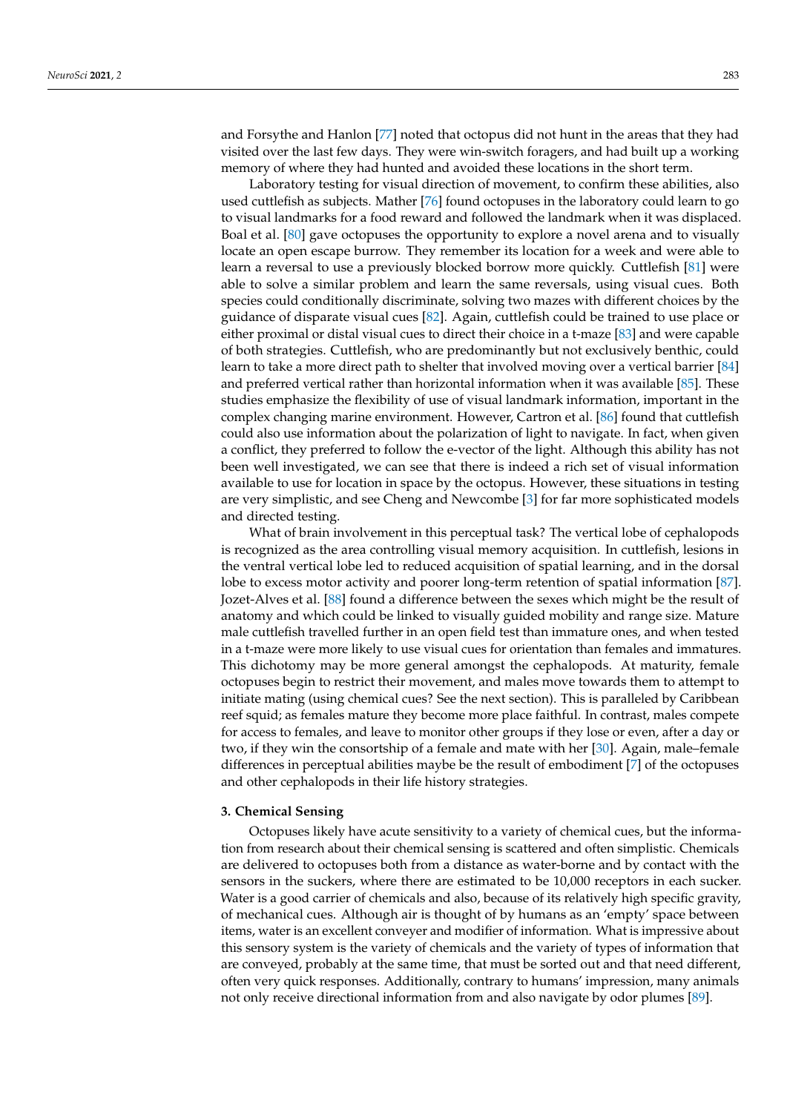and Forsythe and Hanlon [\[77\]](#page-13-8) noted that octopus did not hunt in the areas that they had visited over the last few days. They were win-switch foragers, and had built up a working memory of where they had hunted and avoided these locations in the short term.

Laboratory testing for visual direction of movement, to confirm these abilities, also used cuttlefish as subjects. Mather [\[76\]](#page-13-7) found octopuses in the laboratory could learn to go to visual landmarks for a food reward and followed the landmark when it was displaced. Boal et al. [\[80\]](#page-13-11) gave octopuses the opportunity to explore a novel arena and to visually locate an open escape burrow. They remember its location for a week and were able to learn a reversal to use a previously blocked borrow more quickly. Cuttlefish [\[81\]](#page-13-12) were able to solve a similar problem and learn the same reversals, using visual cues. Both species could conditionally discriminate, solving two mazes with different choices by the guidance of disparate visual cues [\[82\]](#page-13-13). Again, cuttlefish could be trained to use place or either proximal or distal visual cues to direct their choice in a t-maze [\[83\]](#page-13-14) and were capable of both strategies. Cuttlefish, who are predominantly but not exclusively benthic, could learn to take a more direct path to shelter that involved moving over a vertical barrier [\[84\]](#page-13-15) and preferred vertical rather than horizontal information when it was available [\[85\]](#page-13-16). These studies emphasize the flexibility of use of visual landmark information, important in the complex changing marine environment. However, Cartron et al. [\[86\]](#page-13-17) found that cuttlefish could also use information about the polarization of light to navigate. In fact, when given a conflict, they preferred to follow the e-vector of the light. Although this ability has not been well investigated, we can see that there is indeed a rich set of visual information available to use for location in space by the octopus. However, these situations in testing are very simplistic, and see Cheng and Newcombe [\[3\]](#page-10-2) for far more sophisticated models and directed testing.

What of brain involvement in this perceptual task? The vertical lobe of cephalopods is recognized as the area controlling visual memory acquisition. In cuttlefish, lesions in the ventral vertical lobe led to reduced acquisition of spatial learning, and in the dorsal lobe to excess motor activity and poorer long-term retention of spatial information [\[87\]](#page-13-18). Jozet-Alves et al. [\[88\]](#page-13-19) found a difference between the sexes which might be the result of anatomy and which could be linked to visually guided mobility and range size. Mature male cuttlefish travelled further in an open field test than immature ones, and when tested in a t-maze were more likely to use visual cues for orientation than females and immatures. This dichotomy may be more general amongst the cephalopods. At maturity, female octopuses begin to restrict their movement, and males move towards them to attempt to initiate mating (using chemical cues? See the next section). This is paralleled by Caribbean reef squid; as females mature they become more place faithful. In contrast, males compete for access to females, and leave to monitor other groups if they lose or even, after a day or two, if they win the consortship of a female and mate with her [\[30\]](#page-11-26). Again, male–female differences in perceptual abilities maybe be the result of embodiment [\[7\]](#page-11-3) of the octopuses and other cephalopods in their life history strategies.

### **3. Chemical Sensing**

Octopuses likely have acute sensitivity to a variety of chemical cues, but the information from research about their chemical sensing is scattered and often simplistic. Chemicals are delivered to octopuses both from a distance as water-borne and by contact with the sensors in the suckers, where there are estimated to be 10,000 receptors in each sucker. Water is a good carrier of chemicals and also, because of its relatively high specific gravity, of mechanical cues. Although air is thought of by humans as an 'empty' space between items, water is an excellent conveyer and modifier of information. What is impressive about this sensory system is the variety of chemicals and the variety of types of information that are conveyed, probably at the same time, that must be sorted out and that need different, often very quick responses. Additionally, contrary to humans' impression, many animals not only receive directional information from and also navigate by odor plumes [\[89\]](#page-13-20).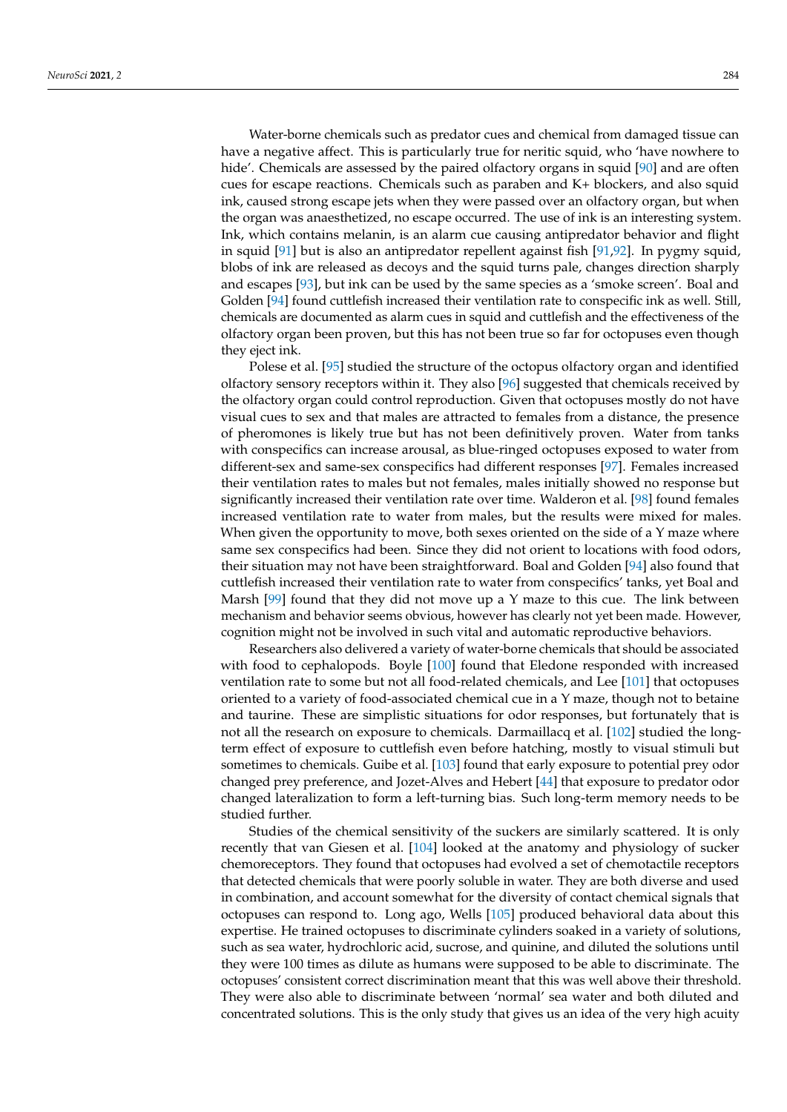Water-borne chemicals such as predator cues and chemical from damaged tissue can have a negative affect. This is particularly true for neritic squid, who 'have nowhere to hide'. Chemicals are assessed by the paired olfactory organs in squid [\[90\]](#page-13-21) and are often cues for escape reactions. Chemicals such as paraben and K+ blockers, and also squid ink, caused strong escape jets when they were passed over an olfactory organ, but when the organ was anaesthetized, no escape occurred. The use of ink is an interesting system. Ink, which contains melanin, is an alarm cue causing antipredator behavior and flight in squid [\[91\]](#page-13-22) but is also an antipredator repellent against fish [\[91,](#page-13-22)[92\]](#page-13-23). In pygmy squid, blobs of ink are released as decoys and the squid turns pale, changes direction sharply and escapes [\[93\]](#page-13-24), but ink can be used by the same species as a 'smoke screen'. Boal and Golden [\[94\]](#page-13-25) found cuttlefish increased their ventilation rate to conspecific ink as well. Still, chemicals are documented as alarm cues in squid and cuttlefish and the effectiveness of the olfactory organ been proven, but this has not been true so far for octopuses even though they eject ink.

Polese et al. [\[95\]](#page-13-26) studied the structure of the octopus olfactory organ and identified olfactory sensory receptors within it. They also [\[96\]](#page-13-27) suggested that chemicals received by the olfactory organ could control reproduction. Given that octopuses mostly do not have visual cues to sex and that males are attracted to females from a distance, the presence of pheromones is likely true but has not been definitively proven. Water from tanks with conspecifics can increase arousal, as blue-ringed octopuses exposed to water from different-sex and same-sex conspecifics had different responses [\[97\]](#page-14-0). Females increased their ventilation rates to males but not females, males initially showed no response but significantly increased their ventilation rate over time. Walderon et al. [\[98\]](#page-14-1) found females increased ventilation rate to water from males, but the results were mixed for males. When given the opportunity to move, both sexes oriented on the side of a Y maze where same sex conspecifics had been. Since they did not orient to locations with food odors, their situation may not have been straightforward. Boal and Golden [\[94\]](#page-13-25) also found that cuttlefish increased their ventilation rate to water from conspecifics' tanks, yet Boal and Marsh  $[99]$  found that they did not move up a Y maze to this cue. The link between mechanism and behavior seems obvious, however has clearly not yet been made. However, cognition might not be involved in such vital and automatic reproductive behaviors.

Researchers also delivered a variety of water-borne chemicals that should be associated with food to cephalopods. Boyle [\[100\]](#page-14-3) found that Eledone responded with increased ventilation rate to some but not all food-related chemicals, and Lee [\[101\]](#page-14-4) that octopuses oriented to a variety of food-associated chemical cue in a Y maze, though not to betaine and taurine. These are simplistic situations for odor responses, but fortunately that is not all the research on exposure to chemicals. Darmaillacq et al. [\[102\]](#page-14-5) studied the longterm effect of exposure to cuttlefish even before hatching, mostly to visual stimuli but sometimes to chemicals. Guibe et al. [\[103\]](#page-14-6) found that early exposure to potential prey odor changed prey preference, and Jozet-Alves and Hebert [\[44\]](#page-12-8) that exposure to predator odor changed lateralization to form a left-turning bias. Such long-term memory needs to be studied further.

Studies of the chemical sensitivity of the suckers are similarly scattered. It is only recently that van Giesen et al. [\[104\]](#page-14-7) looked at the anatomy and physiology of sucker chemoreceptors. They found that octopuses had evolved a set of chemotactile receptors that detected chemicals that were poorly soluble in water. They are both diverse and used in combination, and account somewhat for the diversity of contact chemical signals that octopuses can respond to. Long ago, Wells [\[105\]](#page-14-8) produced behavioral data about this expertise. He trained octopuses to discriminate cylinders soaked in a variety of solutions, such as sea water, hydrochloric acid, sucrose, and quinine, and diluted the solutions until they were 100 times as dilute as humans were supposed to be able to discriminate. The octopuses' consistent correct discrimination meant that this was well above their threshold. They were also able to discriminate between 'normal' sea water and both diluted and concentrated solutions. This is the only study that gives us an idea of the very high acuity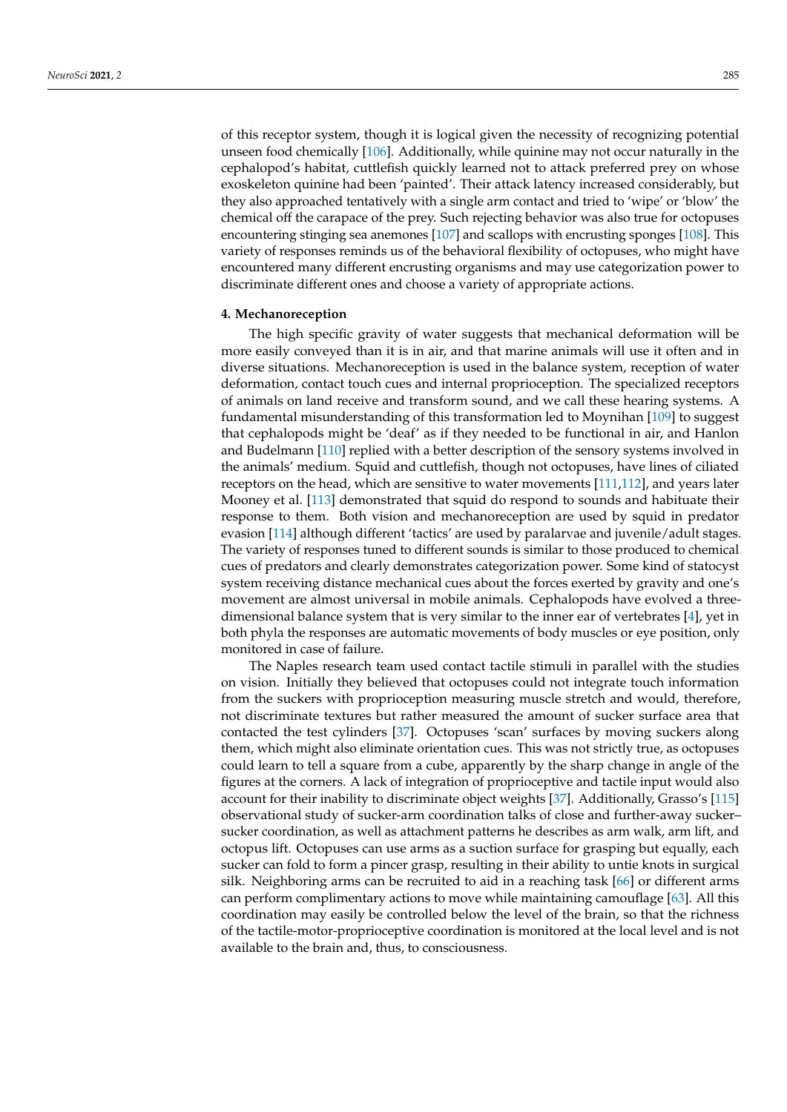of this receptor system, though it is logical given the necessity of recognizing potential unseen food chemically [\[106\]](#page-14-9). Additionally, while quinine may not occur naturally in the cephalopod's habitat, cuttlefish quickly learned not to attack preferred prey on whose exoskeleton quinine had been 'painted'. Their attack latency increased considerably, but they also approached tentatively with a single arm contact and tried to 'wipe' or 'blow' the chemical off the carapace of the prey. Such rejecting behavior was also true for octopuses encountering stinging sea anemones [\[107\]](#page-14-10) and scallops with encrusting sponges [\[108\]](#page-14-11). This variety of responses reminds us of the behavioral flexibility of octopuses, who might have encountered many different encrusting organisms and may use categorization power to discriminate different ones and choose a variety of appropriate actions.

#### **4. Mechanoreception**

The high specific gravity of water suggests that mechanical deformation will be more easily conveyed than it is in air, and that marine animals will use it often and in diverse situations. Mechanoreception is used in the balance system, reception of water deformation, contact touch cues and internal proprioception. The specialized receptors of animals on land receive and transform sound, and we call these hearing systems. A fundamental misunderstanding of this transformation led to Moynihan [\[109\]](#page-14-12) to suggest that cephalopods might be 'deaf' as if they needed to be functional in air, and Hanlon and Budelmann [\[110\]](#page-14-13) replied with a better description of the sensory systems involved in the animals' medium. Squid and cuttlefish, though not octopuses, have lines of ciliated receptors on the head, which are sensitive to water movements [\[111](#page-14-14)[,112\]](#page-14-15), and years later Mooney et al. [\[113\]](#page-14-16) demonstrated that squid do respond to sounds and habituate their response to them. Both vision and mechanoreception are used by squid in predator evasion [\[114\]](#page-14-17) although different 'tactics' are used by paralarvae and juvenile/adult stages. The variety of responses tuned to different sounds is similar to those produced to chemical cues of predators and clearly demonstrates categorization power. Some kind of statocyst system receiving distance mechanical cues about the forces exerted by gravity and one's movement are almost universal in mobile animals. Cephalopods have evolved a threedimensional balance system that is very similar to the inner ear of vertebrates [\[4\]](#page-11-0), yet in both phyla the responses are automatic movements of body muscles or eye position, only monitored in case of failure.

The Naples research team used contact tactile stimuli in parallel with the studies on vision. Initially they believed that octopuses could not integrate touch information from the suckers with proprioception measuring muscle stretch and would, therefore, not discriminate textures but rather measured the amount of sucker surface area that contacted the test cylinders [\[37\]](#page-12-1). Octopuses 'scan' surfaces by moving suckers along them, which might also eliminate orientation cues. This was not strictly true, as octopuses could learn to tell a square from a cube, apparently by the sharp change in angle of the figures at the corners. A lack of integration of proprioceptive and tactile input would also account for their inability to discriminate object weights [\[37\]](#page-12-1). Additionally, Grasso's [\[115\]](#page-14-18) observational study of sucker-arm coordination talks of close and further-away sucker– sucker coordination, as well as attachment patterns he describes as arm walk, arm lift, and octopus lift. Octopuses can use arms as a suction surface for grasping but equally, each sucker can fold to form a pincer grasp, resulting in their ability to untie knots in surgical silk. Neighboring arms can be recruited to aid in a reaching task [\[66\]](#page-12-30) or different arms can perform complimentary actions to move while maintaining camouflage [\[63\]](#page-12-27). All this coordination may easily be controlled below the level of the brain, so that the richness of the tactile-motor-proprioceptive coordination is monitored at the local level and is not available to the brain and, thus, to consciousness.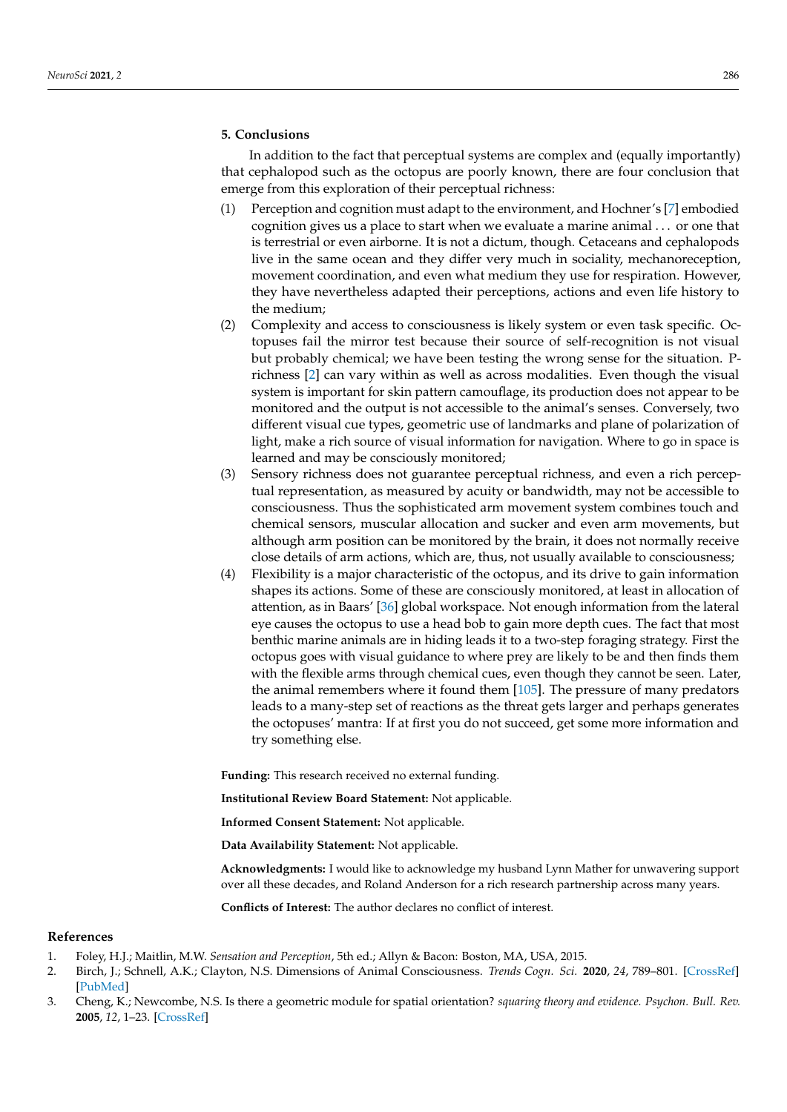## **5. Conclusions**

In addition to the fact that perceptual systems are complex and (equally importantly) that cephalopod such as the octopus are poorly known, there are four conclusion that emerge from this exploration of their perceptual richness:

- (1) Perception and cognition must adapt to the environment, and Hochner's [\[7\]](#page-11-3) embodied cognition gives us a place to start when we evaluate a marine animal . . . or one that is terrestrial or even airborne. It is not a dictum, though. Cetaceans and cephalopods live in the same ocean and they differ very much in sociality, mechanoreception, movement coordination, and even what medium they use for respiration. However, they have nevertheless adapted their perceptions, actions and even life history to the medium;
- (2) Complexity and access to consciousness is likely system or even task specific. Octopuses fail the mirror test because their source of self-recognition is not visual but probably chemical; we have been testing the wrong sense for the situation. Prichness [\[2\]](#page-10-1) can vary within as well as across modalities. Even though the visual system is important for skin pattern camouflage, its production does not appear to be monitored and the output is not accessible to the animal's senses. Conversely, two different visual cue types, geometric use of landmarks and plane of polarization of light, make a rich source of visual information for navigation. Where to go in space is learned and may be consciously monitored;
- (3) Sensory richness does not guarantee perceptual richness, and even a rich perceptual representation, as measured by acuity or bandwidth, may not be accessible to consciousness. Thus the sophisticated arm movement system combines touch and chemical sensors, muscular allocation and sucker and even arm movements, but although arm position can be monitored by the brain, it does not normally receive close details of arm actions, which are, thus, not usually available to consciousness;
- (4) Flexibility is a major characteristic of the octopus, and its drive to gain information shapes its actions. Some of these are consciously monitored, at least in allocation of attention, as in Baars' [\[36\]](#page-12-0) global workspace. Not enough information from the lateral eye causes the octopus to use a head bob to gain more depth cues. The fact that most benthic marine animals are in hiding leads it to a two-step foraging strategy. First the octopus goes with visual guidance to where prey are likely to be and then finds them with the flexible arms through chemical cues, even though they cannot be seen. Later, the animal remembers where it found them  $[105]$ . The pressure of many predators leads to a many-step set of reactions as the threat gets larger and perhaps generates the octopuses' mantra: If at first you do not succeed, get some more information and try something else.

**Funding:** This research received no external funding.

**Institutional Review Board Statement:** Not applicable.

**Informed Consent Statement:** Not applicable.

**Data Availability Statement:** Not applicable.

**Acknowledgments:** I would like to acknowledge my husband Lynn Mather for unwavering support over all these decades, and Roland Anderson for a rich research partnership across many years.

**Conflicts of Interest:** The author declares no conflict of interest.

#### **References**

- <span id="page-10-0"></span>1. Foley, H.J.; Maitlin, M.W. *Sensation and Perception*, 5th ed.; Allyn & Bacon: Boston, MA, USA, 2015.
- <span id="page-10-1"></span>2. Birch, J.; Schnell, A.K.; Clayton, N.S. Dimensions of Animal Consciousness. *Trends Cogn. Sci.* **2020**, *24*, 789–801. [\[CrossRef\]](http://doi.org/10.1016/j.tics.2020.07.007) [\[PubMed\]](http://www.ncbi.nlm.nih.gov/pubmed/32830051)
- <span id="page-10-2"></span>3. Cheng, K.; Newcombe, N.S. Is there a geometric module for spatial orientation? *squaring theory and evidence. Psychon. Bull. Rev.* **2005**, *12*, 1–23. [\[CrossRef\]](http://doi.org/10.3758/BF03196346)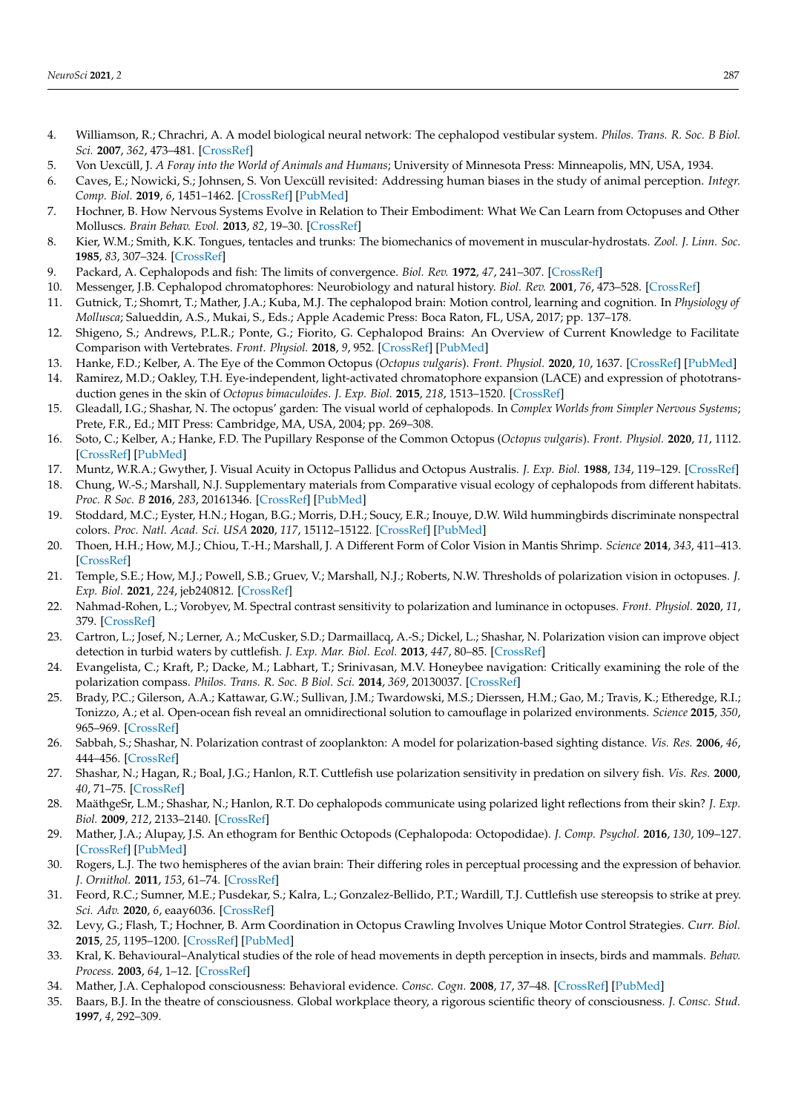- <span id="page-11-0"></span>4. Williamson, R.; Chrachri, A. A model biological neural network: The cephalopod vestibular system. *Philos. Trans. R. Soc. B Biol. Sci.* **2007**, *362*, 473–481. [\[CrossRef\]](http://doi.org/10.1098/rstb.2006.1975)
- <span id="page-11-1"></span>5. Von Uexcüll, J. *A Foray into the World of Animals and Humans*; University of Minnesota Press: Minneapolis, MN, USA, 1934.
- <span id="page-11-2"></span>6. Caves, E.; Nowicki, S.; Johnsen, S. Von Uexcüll revisited: Addressing human biases in the study of animal perception. *Integr. Comp. Biol.* **2019**, *6*, 1451–1462. [\[CrossRef\]](http://doi.org/10.1093/icb/icz073) [\[PubMed\]](http://www.ncbi.nlm.nih.gov/pubmed/31127268)
- <span id="page-11-3"></span>7. Hochner, B. How Nervous Systems Evolve in Relation to Their Embodiment: What We Can Learn from Octopuses and Other Molluscs. *Brain Behav. Evol.* **2013**, *82*, 19–30. [\[CrossRef\]](http://doi.org/10.1159/000353419)
- <span id="page-11-4"></span>8. Kier, W.M.; Smith, K.K. Tongues, tentacles and trunks: The biomechanics of movement in muscular-hydrostats. *Zool. J. Linn. Soc.* **1985**, *83*, 307–324. [\[CrossRef\]](http://doi.org/10.1111/j.1096-3642.1985.tb01178.x)
- <span id="page-11-5"></span>9. Packard, A. Cephalopods and fish: The limits of convergence. *Biol. Rev.* **1972**, *47*, 241–307. [\[CrossRef\]](http://doi.org/10.1111/j.1469-185X.1972.tb00975.x)
- <span id="page-11-6"></span>10. Messenger, J.B. Cephalopod chromatophores: Neurobiology and natural history. *Biol. Rev.* **2001**, *76*, 473–528. [\[CrossRef\]](http://doi.org/10.1017/S1464793101005772)
- <span id="page-11-7"></span>11. Gutnick, T.; Shomrt, T.; Mather, J.A.; Kuba, M.J. The cephalopod brain: Motion control, learning and cognition. In *Physiology of Mollusca*; Salueddin, A.S., Mukai, S., Eds.; Apple Academic Press: Boca Raton, FL, USA, 2017; pp. 137–178.
- <span id="page-11-8"></span>12. Shigeno, S.; Andrews, P.L.R.; Ponte, G.; Fiorito, G. Cephalopod Brains: An Overview of Current Knowledge to Facilitate Comparison with Vertebrates. *Front. Physiol.* **2018**, *9*, 952. [\[CrossRef\]](http://doi.org/10.3389/fphys.2018.00952) [\[PubMed\]](http://www.ncbi.nlm.nih.gov/pubmed/30079030)
- <span id="page-11-9"></span>13. Hanke, F.D.; Kelber, A. The Eye of the Common Octopus (*Octopus vulgaris*). *Front. Physiol.* **2020**, *10*, 1637. [\[CrossRef\]](http://doi.org/10.3389/fphys.2019.01637) [\[PubMed\]](http://www.ncbi.nlm.nih.gov/pubmed/32009987)
- <span id="page-11-10"></span>14. Ramirez, M.D.; Oakley, T.H. Eye-independent, light-activated chromatophore expansion (LACE) and expression of phototransduction genes in the skin of *Octopus bimaculoides*. *J. Exp. Biol.* **2015**, *218*, 1513–1520. [\[CrossRef\]](http://doi.org/10.1242/jeb.110908)
- <span id="page-11-11"></span>15. Gleadall, I.G.; Shashar, N. The octopus' garden: The visual world of cephalopods. In *Complex Worlds from Simpler Nervous Systems*; Prete, F.R., Ed.; MIT Press: Cambridge, MA, USA, 2004; pp. 269–308.
- <span id="page-11-12"></span>16. Soto, C.; Kelber, A.; Hanke, F.D. The Pupillary Response of the Common Octopus (*Octopus vulgaris*). *Front. Physiol.* **2020**, *11*, 1112. [\[CrossRef\]](http://doi.org/10.3389/fphys.2020.01112) [\[PubMed\]](http://www.ncbi.nlm.nih.gov/pubmed/33041848)
- <span id="page-11-13"></span>17. Muntz, W.R.A.; Gwyther, J. Visual Acuity in Octopus Pallidus and Octopus Australis. *J. Exp. Biol.* **1988**, *134*, 119–129. [\[CrossRef\]](http://doi.org/10.1242/jeb.134.1.119)
- <span id="page-11-14"></span>18. Chung, W.-S.; Marshall, N.J. Supplementary materials from Comparative visual ecology of cephalopods from different habitats. *Proc. R Soc. B* **2016**, *283*, 20161346. [\[CrossRef\]](http://doi.org/10.1098/rspb.2016.1346) [\[PubMed\]](http://www.ncbi.nlm.nih.gov/pubmed/27629028)
- <span id="page-11-15"></span>19. Stoddard, M.C.; Eyster, H.N.; Hogan, B.G.; Morris, D.H.; Soucy, E.R.; Inouye, D.W. Wild hummingbirds discriminate nonspectral colors. *Proc. Natl. Acad. Sci. USA* **2020**, *117*, 15112–15122. [\[CrossRef\]](http://doi.org/10.1073/pnas.1919377117) [\[PubMed\]](http://www.ncbi.nlm.nih.gov/pubmed/32541035)
- <span id="page-11-16"></span>20. Thoen, H.H.; How, M.J.; Chiou, T.-H.; Marshall, J. A Different Form of Color Vision in Mantis Shrimp. *Science* **2014**, *343*, 411–413. [\[CrossRef\]](http://doi.org/10.1126/science.1245824)
- <span id="page-11-17"></span>21. Temple, S.E.; How, M.J.; Powell, S.B.; Gruev, V.; Marshall, N.J.; Roberts, N.W. Thresholds of polarization vision in octopuses. *J. Exp. Biol.* **2021**, *224*, jeb240812. [\[CrossRef\]](http://doi.org/10.1242/jeb.240812)
- <span id="page-11-18"></span>22. Nahmad-Rohen, L.; Vorobyev, M. Spectral contrast sensitivity to polarization and luminance in octopuses. *Front. Physiol.* **2020**, *11*, 379. [\[CrossRef\]](http://doi.org/10.3389/fphys.2020.00379)
- <span id="page-11-19"></span>23. Cartron, L.; Josef, N.; Lerner, A.; McCusker, S.D.; Darmaillacq, A.-S.; Dickel, L.; Shashar, N. Polarization vision can improve object detection in turbid waters by cuttlefish. *J. Exp. Mar. Biol. Ecol.* **2013**, *447*, 80–85. [\[CrossRef\]](http://doi.org/10.1016/j.jembe.2013.02.013)
- <span id="page-11-20"></span>24. Evangelista, C.; Kraft, P.; Dacke, M.; Labhart, T.; Srinivasan, M.V. Honeybee navigation: Critically examining the role of the polarization compass. *Philos. Trans. R. Soc. B Biol. Sci.* **2014**, *369*, 20130037. [\[CrossRef\]](http://doi.org/10.1098/rstb.2013.0037)
- <span id="page-11-21"></span>25. Brady, P.C.; Gilerson, A.A.; Kattawar, G.W.; Sullivan, J.M.; Twardowski, M.S.; Dierssen, H.M.; Gao, M.; Travis, K.; Etheredge, R.I.; Tonizzo, A.; et al. Open-ocean fish reveal an omnidirectional solution to camouflage in polarized environments. *Science* **2015**, *350*, 965–969. [\[CrossRef\]](http://doi.org/10.1126/science.aad5284)
- <span id="page-11-22"></span>26. Sabbah, S.; Shashar, N. Polarization contrast of zooplankton: A model for polarization-based sighting distance. *Vis. Res.* **2006**, *46*, 444–456. [\[CrossRef\]](http://doi.org/10.1016/j.visres.2005.05.017)
- <span id="page-11-23"></span>27. Shashar, N.; Hagan, R.; Boal, J.G.; Hanlon, R.T. Cuttlefish use polarization sensitivity in predation on silvery fish. *Vis. Res.* **2000**, *40*, 71–75. [\[CrossRef\]](http://doi.org/10.1016/S0042-6989(99)00158-3)
- <span id="page-11-24"></span>28. MaäthgeSr, L.M.; Shashar, N.; Hanlon, R.T. Do cephalopods communicate using polarized light reflections from their skin? *J. Exp. Biol.* **2009**, *212*, 2133–2140. [\[CrossRef\]](http://doi.org/10.1242/jeb.020800)
- <span id="page-11-25"></span>29. Mather, J.A.; Alupay, J.S. An ethogram for Benthic Octopods (Cephalopoda: Octopodidae). *J. Comp. Psychol.* **2016**, *130*, 109–127. [\[CrossRef\]](http://doi.org/10.1037/com0000025) [\[PubMed\]](http://www.ncbi.nlm.nih.gov/pubmed/27078075)
- <span id="page-11-26"></span>30. Rogers, L.J. The two hemispheres of the avian brain: Their differing roles in perceptual processing and the expression of behavior. *J. Ornithol.* **2011**, *153*, 61–74. [\[CrossRef\]](http://doi.org/10.1007/s10336-011-0769-z)
- <span id="page-11-27"></span>31. Feord, R.C.; Sumner, M.E.; Pusdekar, S.; Kalra, L.; Gonzalez-Bellido, P.T.; Wardill, T.J. Cuttlefish use stereopsis to strike at prey. *Sci. Adv.* **2020**, *6*, eaay6036. [\[CrossRef\]](http://doi.org/10.1126/sciadv.aay6036)
- <span id="page-11-28"></span>32. Levy, G.; Flash, T.; Hochner, B. Arm Coordination in Octopus Crawling Involves Unique Motor Control Strategies. *Curr. Biol.* **2015**, *25*, 1195–1200. [\[CrossRef\]](http://doi.org/10.1016/j.cub.2015.02.064) [\[PubMed\]](http://www.ncbi.nlm.nih.gov/pubmed/25891406)
- <span id="page-11-29"></span>33. Kral, K. Behavioural–Analytical studies of the role of head movements in depth perception in insects, birds and mammals. *Behav. Process.* **2003**, *64*, 1–12. [\[CrossRef\]](http://doi.org/10.1016/S0376-6357(03)00054-8)
- <span id="page-11-30"></span>34. Mather, J.A. Cephalopod consciousness: Behavioral evidence. *Consc. Cogn.* **2008**, *17*, 37–48. [\[CrossRef\]](http://doi.org/10.1016/j.concog.2006.11.006) [\[PubMed\]](http://www.ncbi.nlm.nih.gov/pubmed/17240163)
- <span id="page-11-31"></span>35. Baars, B.J. In the theatre of consciousness. Global workplace theory, a rigorous scientific theory of consciousness. *J. Consc. Stud.* **1997**, *4*, 292–309.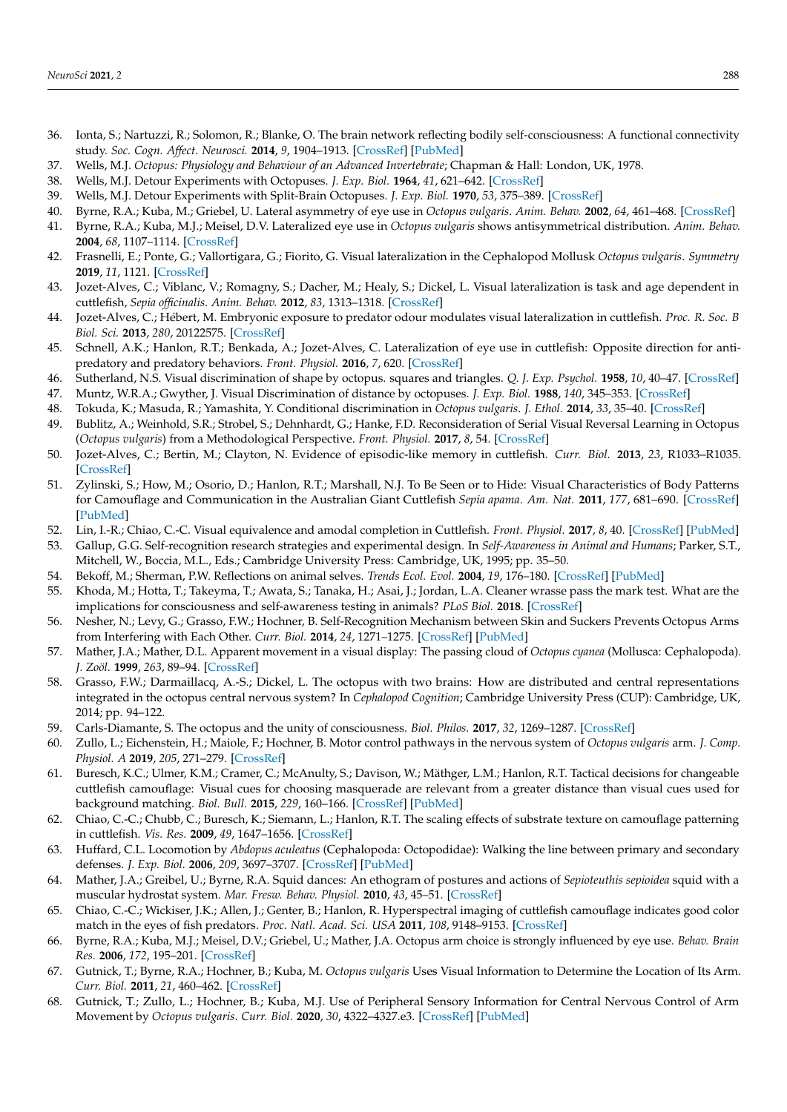- <span id="page-12-0"></span>36. Ionta, S.; Nartuzzi, R.; Solomon, R.; Blanke, O. The brain network reflecting bodily self-consciousness: A functional connectivity study. *Soc. Cogn. Affect. Neurosci.* **2014**, *9*, 1904–1913. [\[CrossRef\]](http://doi.org/10.1093/scan/nst185) [\[PubMed\]](http://www.ncbi.nlm.nih.gov/pubmed/24396007)
- <span id="page-12-1"></span>37. Wells, M.J. *Octopus: Physiology and Behaviour of an Advanced Invertebrate*; Chapman & Hall: London, UK, 1978.
- <span id="page-12-2"></span>38. Wells, M.J. Detour Experiments with Octopuses. *J. Exp. Biol.* **1964**, *41*, 621–642. [\[CrossRef\]](http://doi.org/10.1242/jeb.41.3.621)
- <span id="page-12-3"></span>39. Wells, M.J. Detour Experiments with Split-Brain Octopuses. *J. Exp. Biol.* **1970**, *53*, 375–389. [\[CrossRef\]](http://doi.org/10.1242/jeb.53.2.375)
- <span id="page-12-4"></span>40. Byrne, R.A.; Kuba, M.; Griebel, U. Lateral asymmetry of eye use in *Octopus vulgaris*. *Anim. Behav.* **2002**, *64*, 461–468. [\[CrossRef\]](http://doi.org/10.1006/anbe.2002.3089)
- <span id="page-12-5"></span>41. Byrne, R.A.; Kuba, M.J.; Meisel, D.V. Lateralized eye use in *Octopus vulgaris* shows antisymmetrical distribution. *Anim. Behav.* **2004**, *68*, 1107–1114. [\[CrossRef\]](http://doi.org/10.1016/j.anbehav.2003.11.027)
- <span id="page-12-6"></span>42. Frasnelli, E.; Ponte, G.; Vallortigara, G.; Fiorito, G. Visual lateralization in the Cephalopod Mollusk *Octopus vulgaris*. *Symmetry* **2019**, *11*, 1121. [\[CrossRef\]](http://doi.org/10.3390/sym11091121)
- <span id="page-12-7"></span>43. Jozet-Alves, C.; Viblanc, V.; Romagny, S.; Dacher, M.; Healy, S.; Dickel, L. Visual lateralization is task and age dependent in cuttlefish, *Sepia officinalis*. *Anim. Behav.* **2012**, *83*, 1313–1318. [\[CrossRef\]](http://doi.org/10.1016/j.anbehav.2012.02.023)
- <span id="page-12-8"></span>44. Jozet-Alves, C.; Hébert, M. Embryonic exposure to predator odour modulates visual lateralization in cuttlefish. *Proc. R. Soc. B Biol. Sci.* **2013**, *280*, 20122575. [\[CrossRef\]](http://doi.org/10.1098/rspb.2012.2575)
- <span id="page-12-9"></span>45. Schnell, A.K.; Hanlon, R.T.; Benkada, A.; Jozet-Alves, C. Lateralization of eye use in cuttlefish: Opposite direction for antipredatory and predatory behaviors. *Front. Physiol.* **2016**, *7*, 620. [\[CrossRef\]](http://doi.org/10.3389/fphys.2016.00620)
- <span id="page-12-10"></span>46. Sutherland, N.S. Visual discrimination of shape by octopus. squares and triangles. *Q. J. Exp. Psychol.* **1958**, *10*, 40–47. [\[CrossRef\]](http://doi.org/10.1080/17470215808416252)
- <span id="page-12-11"></span>47. Muntz, W.R.A.; Gwyther, J. Visual Discrimination of distance by octopuses. *J. Exp. Biol.* **1988**, *140*, 345–353. [\[CrossRef\]](http://doi.org/10.1242/jeb.140.1.345)
- <span id="page-12-12"></span>48. Tokuda, K.; Masuda, R.; Yamashita, Y. Conditional discrimination in *Octopus vulgaris*. *J. Ethol.* **2014**, *33*, 35–40. [\[CrossRef\]](http://doi.org/10.1007/s10164-014-0414-4)
- <span id="page-12-13"></span>49. Bublitz, A.; Weinhold, S.R.; Strobel, S.; Dehnhardt, G.; Hanke, F.D. Reconsideration of Serial Visual Reversal Learning in Octopus (*Octopus vulgaris*) from a Methodological Perspective. *Front. Physiol.* **2017**, *8*, 54. [\[CrossRef\]](http://doi.org/10.3389/fphys.2017.00054)
- <span id="page-12-14"></span>50. Jozet-Alves, C.; Bertin, M.; Clayton, N. Evidence of episodic-like memory in cuttlefish. *Curr. Biol.* **2013**, *23*, R1033–R1035. [\[CrossRef\]](http://doi.org/10.1016/j.cub.2013.10.021)
- <span id="page-12-15"></span>51. Zylinski, S.; How, M.; Osorio, D.; Hanlon, R.T.; Marshall, N.J. To Be Seen or to Hide: Visual Characteristics of Body Patterns for Camouflage and Communication in the Australian Giant Cuttlefish *Sepia apama*. *Am. Nat.* **2011**, *177*, 681–690. [\[CrossRef\]](http://doi.org/10.1086/659626) [\[PubMed\]](http://www.ncbi.nlm.nih.gov/pubmed/21508613)
- <span id="page-12-16"></span>52. Lin, I.-R.; Chiao, C.-C. Visual equivalence and amodal completion in Cuttlefish. *Front. Physiol.* **2017**, *8*, 40. [\[CrossRef\]](http://doi.org/10.3389/fphys.2017.00040) [\[PubMed\]](http://www.ncbi.nlm.nih.gov/pubmed/28220075)
- <span id="page-12-17"></span>53. Gallup, G.G. Self-recognition research strategies and experimental design. In *Self-Awareness in Animal and Humans*; Parker, S.T., Mitchell, W., Boccia, M.L., Eds.; Cambridge University Press: Cambridge, UK, 1995; pp. 35–50.
- <span id="page-12-18"></span>54. Bekoff, M.; Sherman, P.W. Reflections on animal selves. *Trends Ecol. Evol.* **2004**, *19*, 176–180. [\[CrossRef\]](http://doi.org/10.1016/j.tree.2003.12.010) [\[PubMed\]](http://www.ncbi.nlm.nih.gov/pubmed/16701251)
- <span id="page-12-19"></span>55. Khoda, M.; Hotta, T.; Takeyma, T.; Awata, S.; Tanaka, H.; Asai, J.; Jordan, L.A. Cleaner wrasse pass the mark test. What are the implications for consciousness and self-awareness testing in animals? *PLoS Biol.* **2018**. [\[CrossRef\]](http://doi.org/10.1371/journal.pbio.3000021)
- <span id="page-12-20"></span>56. Nesher, N.; Levy, G.; Grasso, F.W.; Hochner, B. Self-Recognition Mechanism between Skin and Suckers Prevents Octopus Arms from Interfering with Each Other. *Curr. Biol.* **2014**, *24*, 1271–1275. [\[CrossRef\]](http://doi.org/10.1016/j.cub.2014.04.024) [\[PubMed\]](http://www.ncbi.nlm.nih.gov/pubmed/24835454)
- <span id="page-12-21"></span>57. Mather, J.A.; Mather, D.L. Apparent movement in a visual display: The passing cloud of *Octopus cyanea* (Mollusca: Cephalopoda). *J. Zoöl.* **1999**, *263*, 89–94. [\[CrossRef\]](http://doi.org/10.1017/S0952836904004911)
- <span id="page-12-22"></span>58. Grasso, F.W.; Darmaillacq, A.-S.; Dickel, L. The octopus with two brains: How are distributed and central representations integrated in the octopus central nervous system? In *Cephalopod Cognition*; Cambridge University Press (CUP): Cambridge, UK, 2014; pp. 94–122.
- <span id="page-12-23"></span>59. Carls-Diamante, S. The octopus and the unity of consciousness. *Biol. Philos.* **2017**, *32*, 1269–1287. [\[CrossRef\]](http://doi.org/10.1007/s10539-017-9604-0)
- <span id="page-12-24"></span>60. Zullo, L.; Eichenstein, H.; Maiole, F.; Hochner, B. Motor control pathways in the nervous system of *Octopus vulgaris* arm. *J. Comp. Physiol. A* **2019**, *205*, 271–279. [\[CrossRef\]](http://doi.org/10.1007/s00359-019-01332-6)
- <span id="page-12-25"></span>61. Buresch, K.C.; Ulmer, K.M.; Cramer, C.; McAnulty, S.; Davison, W.; Mäthger, L.M.; Hanlon, R.T. Tactical decisions for changeable cuttlefish camouflage: Visual cues for choosing masquerade are relevant from a greater distance than visual cues used for background matching. *Biol. Bull.* **2015**, *229*, 160–166. [\[CrossRef\]](http://doi.org/10.1086/BBLv229n2p160) [\[PubMed\]](http://www.ncbi.nlm.nih.gov/pubmed/26504156)
- <span id="page-12-26"></span>62. Chiao, C.-C.; Chubb, C.; Buresch, K.; Siemann, L.; Hanlon, R.T. The scaling effects of substrate texture on camouflage patterning in cuttlefish. *Vis. Res.* **2009**, *49*, 1647–1656. [\[CrossRef\]](http://doi.org/10.1016/j.visres.2009.04.002)
- <span id="page-12-27"></span>63. Huffard, C.L. Locomotion by *Abdopus aculeatus* (Cephalopoda: Octopodidae): Walking the line between primary and secondary defenses. *J. Exp. Biol.* **2006**, *209*, 3697–3707. [\[CrossRef\]](http://doi.org/10.1242/jeb.02435) [\[PubMed\]](http://www.ncbi.nlm.nih.gov/pubmed/16985187)
- <span id="page-12-28"></span>64. Mather, J.A.; Greibel, U.; Byrne, R.A. Squid dances: An ethogram of postures and actions of *Sepioteuthis sepioidea* squid with a muscular hydrostat system. *Mar. Fresw. Behav. Physiol.* **2010**, *43*, 45–51. [\[CrossRef\]](http://doi.org/10.1080/10236241003660771)
- <span id="page-12-29"></span>65. Chiao, C.-C.; Wickiser, J.K.; Allen, J.; Genter, B.; Hanlon, R. Hyperspectral imaging of cuttlefish camouflage indicates good color match in the eyes of fish predators. *Proc. Natl. Acad. Sci. USA* **2011**, *108*, 9148–9153. [\[CrossRef\]](http://doi.org/10.1073/pnas.1019090108)
- <span id="page-12-30"></span>66. Byrne, R.A.; Kuba, M.J.; Meisel, D.V.; Griebel, U.; Mather, J.A. Octopus arm choice is strongly influenced by eye use. *Behav. Brain Res.* **2006**, *172*, 195–201. [\[CrossRef\]](http://doi.org/10.1016/j.bbr.2006.04.026)
- <span id="page-12-31"></span>67. Gutnick, T.; Byrne, R.A.; Hochner, B.; Kuba, M. *Octopus vulgaris* Uses Visual Information to Determine the Location of Its Arm. *Curr. Biol.* **2011**, *21*, 460–462. [\[CrossRef\]](http://doi.org/10.1016/j.cub.2011.01.052)
- <span id="page-12-32"></span>68. Gutnick, T.; Zullo, L.; Hochner, B.; Kuba, M.J. Use of Peripheral Sensory Information for Central Nervous Control of Arm Movement by *Octopus vulgaris*. *Curr. Biol.* **2020**, *30*, 4322–4327.e3. [\[CrossRef\]](http://doi.org/10.1016/j.cub.2020.08.037) [\[PubMed\]](http://www.ncbi.nlm.nih.gov/pubmed/32916119)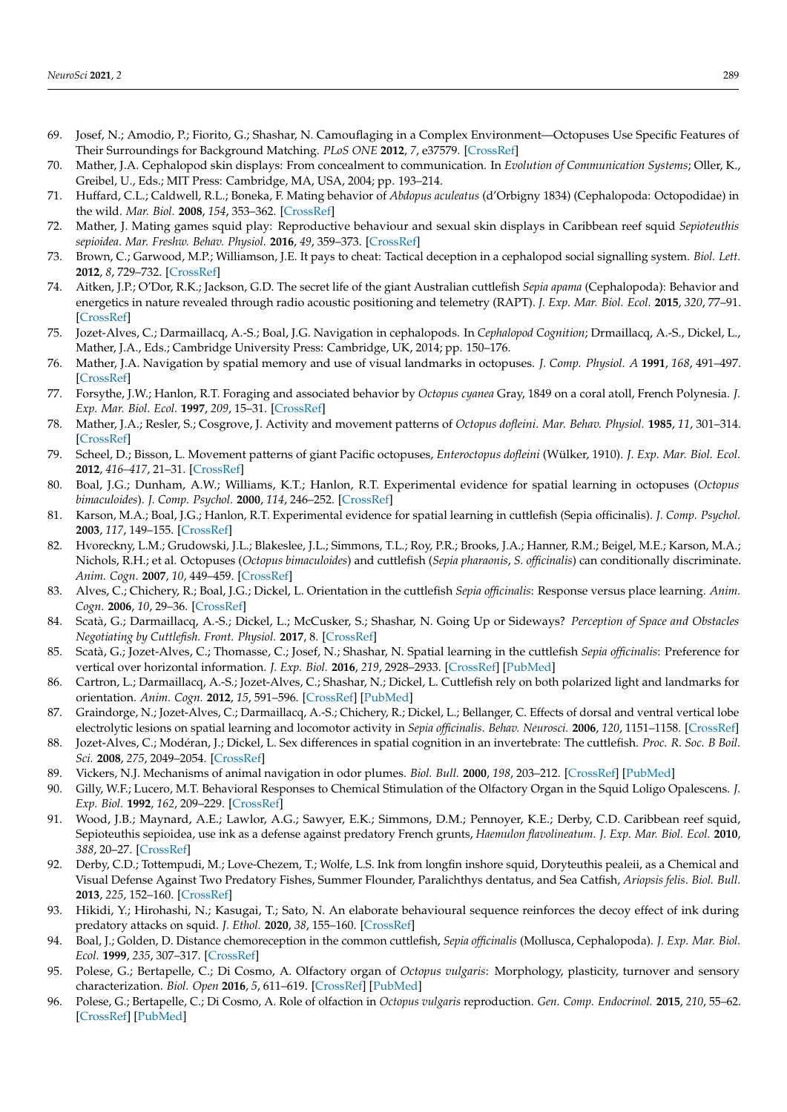- <span id="page-13-0"></span>69. Josef, N.; Amodio, P.; Fiorito, G.; Shashar, N. Camouflaging in a Complex Environment—Octopuses Use Specific Features of Their Surroundings for Background Matching. *PLoS ONE* **2012**, *7*, e37579. [\[CrossRef\]](http://doi.org/10.1371/journal.pone.0037579)
- <span id="page-13-1"></span>70. Mather, J.A. Cephalopod skin displays: From concealment to communication. In *Evolution of Communication Systems*; Oller, K., Greibel, U., Eds.; MIT Press: Cambridge, MA, USA, 2004; pp. 193–214.
- <span id="page-13-2"></span>71. Huffard, C.L.; Caldwell, R.L.; Boneka, F. Mating behavior of *Abdopus aculeatus* (d'Orbigny 1834) (Cephalopoda: Octopodidae) in the wild. *Mar. Biol.* **2008**, *154*, 353–362. [\[CrossRef\]](http://doi.org/10.1007/s00227-008-0930-2)
- <span id="page-13-3"></span>72. Mather, J. Mating games squid play: Reproductive behaviour and sexual skin displays in Caribbean reef squid *Sepioteuthis sepioidea*. *Mar. Freshw. Behav. Physiol.* **2016**, *49*, 359–373. [\[CrossRef\]](http://doi.org/10.1080/10236244.2016.1253261)
- <span id="page-13-4"></span>73. Brown, C.; Garwood, M.P.; Williamson, J.E. It pays to cheat: Tactical deception in a cephalopod social signalling system. *Biol. Lett.* **2012**, *8*, 729–732. [\[CrossRef\]](http://doi.org/10.1098/rsbl.2012.0435)
- <span id="page-13-5"></span>74. Aitken, J.P.; O'Dor, R.K.; Jackson, G.D. The secret life of the giant Australian cuttlefish *Sepia apama* (Cephalopoda): Behavior and energetics in nature revealed through radio acoustic positioning and telemetry (RAPT). *J. Exp. Mar. Biol. Ecol.* **2015**, *320*, 77–91. [\[CrossRef\]](http://doi.org/10.1016/j.jembe.2004.12.040)
- <span id="page-13-6"></span>75. Jozet-Alves, C.; Darmaillacq, A.-S.; Boal, J.G. Navigation in cephalopods. In *Cephalopod Cognition*; Drmaillacq, A.-S., Dickel, L., Mather, J.A., Eds.; Cambridge University Press: Cambridge, UK, 2014; pp. 150–176.
- <span id="page-13-7"></span>76. Mather, J.A. Navigation by spatial memory and use of visual landmarks in octopuses. *J. Comp. Physiol. A* **1991**, *168*, 491–497. [\[CrossRef\]](http://doi.org/10.1007/BF00199609)
- <span id="page-13-8"></span>77. Forsythe, J.W.; Hanlon, R.T. Foraging and associated behavior by *Octopus cyanea* Gray, 1849 on a coral atoll, French Polynesia. *J. Exp. Mar. Biol. Ecol.* **1997**, *209*, 15–31. [\[CrossRef\]](http://doi.org/10.1016/S0022-0981(96)00057-3)
- <span id="page-13-9"></span>78. Mather, J.A.; Resler, S.; Cosgrove, J. Activity and movement patterns of *Octopus dofleini*. *Mar. Behav. Physiol.* **1985**, *11*, 301–314. [\[CrossRef\]](http://doi.org/10.1080/10236248509387055)
- <span id="page-13-10"></span>79. Scheel, D.; Bisson, L. Movement patterns of giant Pacific octopuses, *Enteroctopus dofleini* (Wülker, 1910). *J. Exp. Mar. Biol. Ecol.* **2012**, *416–417*, 21–31. [\[CrossRef\]](http://doi.org/10.1016/j.jembe.2012.02.004)
- <span id="page-13-11"></span>80. Boal, J.G.; Dunham, A.W.; Williams, K.T.; Hanlon, R.T. Experimental evidence for spatial learning in octopuses (*Octopus bimaculoides*). *J. Comp. Psychol.* **2000**, *114*, 246–252. [\[CrossRef\]](http://doi.org/10.1037/0735-7036.114.3.246)
- <span id="page-13-12"></span>81. Karson, M.A.; Boal, J.G.; Hanlon, R.T. Experimental evidence for spatial learning in cuttlefish (Sepia officinalis). *J. Comp. Psychol.* **2003**, *117*, 149–155. [\[CrossRef\]](http://doi.org/10.1037/0735-7036.117.2.149)
- <span id="page-13-13"></span>82. Hvoreckny, L.M.; Grudowski, J.L.; Blakeslee, J.L.; Simmons, T.L.; Roy, P.R.; Brooks, J.A.; Hanner, R.M.; Beigel, M.E.; Karson, M.A.; Nichols, R.H.; et al. Octopuses (*Octopus bimaculoides*) and cuttlefish (*Sepia pharaonis*, *S. officinalis*) can conditionally discriminate. *Anim. Cogn.* **2007**, *10*, 449–459. [\[CrossRef\]](http://doi.org/10.1007/s10071-007-0085-4)
- <span id="page-13-14"></span>83. Alves, C.; Chichery, R.; Boal, J.G.; Dickel, L. Orientation in the cuttlefish *Sepia officinalis*: Response versus place learning. *Anim. Cogn.* **2006**, *10*, 29–36. [\[CrossRef\]](http://doi.org/10.1007/s10071-006-0027-6)
- <span id="page-13-15"></span>84. Scatà, G.; Darmaillacq, A.-S.; Dickel, L.; McCusker, S.; Shashar, N. Going Up or Sideways? *Perception of Space and Obstacles Negotiating by Cuttlefish. Front. Physiol.* **2017**, 8. [\[CrossRef\]](http://doi.org/10.3389/fphys.2017.00173)
- <span id="page-13-16"></span>85. Scatà, G.; Jozet-Alves, C.; Thomasse, C.; Josef, N.; Shashar, N. Spatial learning in the cuttlefish *Sepia officinalis*: Preference for vertical over horizontal information. *J. Exp. Biol.* **2016**, *219*, 2928–2933. [\[CrossRef\]](http://doi.org/10.1242/jeb.129080) [\[PubMed\]](http://www.ncbi.nlm.nih.gov/pubmed/27655826)
- <span id="page-13-17"></span>86. Cartron, L.; Darmaillacq, A.-S.; Jozet-Alves, C.; Shashar, N.; Dickel, L. Cuttlefish rely on both polarized light and landmarks for orientation. *Anim. Cogn.* **2012**, *15*, 591–596. [\[CrossRef\]](http://doi.org/10.1007/s10071-012-0487-9) [\[PubMed\]](http://www.ncbi.nlm.nih.gov/pubmed/22460628)
- <span id="page-13-18"></span>87. Graindorge, N.; Jozet-Alves, C.; Darmaillacq, A.-S.; Chichery, R.; Dickel, L.; Bellanger, C. Effects of dorsal and ventral vertical lobe electrolytic lesions on spatial learning and locomotor activity in *Sepia officinalis*. *Behav. Neurosci.* **2006**, *120*, 1151–1158. [\[CrossRef\]](http://doi.org/10.1037/0735-7044.120.5.1151)
- <span id="page-13-19"></span>88. Jozet-Alves, C.; Modéran, J.; Dickel, L. Sex differences in spatial cognition in an invertebrate: The cuttlefish. *Proc. R. Soc. B Boil. Sci.* **2008**, *275*, 2049–2054. [\[CrossRef\]](http://doi.org/10.1098/rspb.2008.0501)
- <span id="page-13-20"></span>89. Vickers, N.J. Mechanisms of animal navigation in odor plumes. *Biol. Bull.* **2000**, *198*, 203–212. [\[CrossRef\]](http://doi.org/10.2307/1542524) [\[PubMed\]](http://www.ncbi.nlm.nih.gov/pubmed/10786941)
- <span id="page-13-21"></span>90. Gilly, W.F.; Lucero, M.T. Behavioral Responses to Chemical Stimulation of the Olfactory Organ in the Squid Loligo Opalescens. *J. Exp. Biol.* **1992**, *162*, 209–229. [\[CrossRef\]](http://doi.org/10.1242/jeb.162.1.209)
- <span id="page-13-22"></span>91. Wood, J.B.; Maynard, A.E.; Lawlor, A.G.; Sawyer, E.K.; Simmons, D.M.; Pennoyer, K.E.; Derby, C.D. Caribbean reef squid, Sepioteuthis sepioidea, use ink as a defense against predatory French grunts, *Haemulon flavolineatum*. *J. Exp. Mar. Biol. Ecol.* **2010**, *388*, 20–27. [\[CrossRef\]](http://doi.org/10.1016/j.jembe.2010.03.010)
- <span id="page-13-23"></span>92. Derby, C.D.; Tottempudi, M.; Love-Chezem, T.; Wolfe, L.S. Ink from longfin inshore squid, Doryteuthis pealeii, as a Chemical and Visual Defense Against Two Predatory Fishes, Summer Flounder, Paralichthys dentatus, and Sea Catfish, *Ariopsis felis*. *Biol. Bull.* **2013**, *225*, 152–160. [\[CrossRef\]](http://doi.org/10.1086/BBLv225n3p152)
- <span id="page-13-24"></span>93. Hikidi, Y.; Hirohashi, N.; Kasugai, T.; Sato, N. An elaborate behavioural sequence reinforces the decoy effect of ink during predatory attacks on squid. *J. Ethol.* **2020**, *38*, 155–160. [\[CrossRef\]](http://doi.org/10.1007/s10164-020-00640-8)
- <span id="page-13-25"></span>94. Boal, J.; Golden, D. Distance chemoreception in the common cuttlefish, *Sepia officinalis* (Mollusca, Cephalopoda). *J. Exp. Mar. Biol. Ecol.* **1999**, *235*, 307–317. [\[CrossRef\]](http://doi.org/10.1016/S0022-0981(98)00187-7)
- <span id="page-13-26"></span>95. Polese, G.; Bertapelle, C.; Di Cosmo, A. Olfactory organ of *Octopus vulgaris*: Morphology, plasticity, turnover and sensory characterization. *Biol. Open* **2016**, *5*, 611–619. [\[CrossRef\]](http://doi.org/10.1242/bio.017764) [\[PubMed\]](http://www.ncbi.nlm.nih.gov/pubmed/27069253)
- <span id="page-13-27"></span>96. Polese, G.; Bertapelle, C.; Di Cosmo, A. Role of olfaction in *Octopus vulgaris* reproduction. *Gen. Comp. Endocrinol.* **2015**, *210*, 55–62. [\[CrossRef\]](http://doi.org/10.1016/j.ygcen.2014.10.006) [\[PubMed\]](http://www.ncbi.nlm.nih.gov/pubmed/25449183)